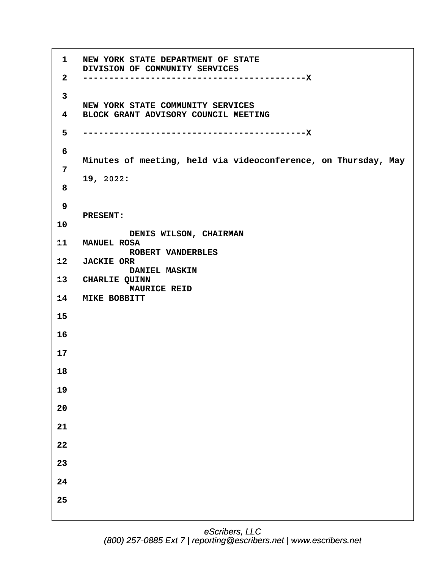**11· ·**   $12$  $13<sup>7</sup>$ 14 **MIKE BOBBITT ·1· ·NEW YORK STATE DEPARTMENT OF STATE** DIVISION OF COMMUNITY SERVICES **·2· ·-------------------------------------------X ·3** NEW YORK STATE COMMUNITY SERVICES **·4· ·BLOCK GRANT ADVISORY COUNCIL MEETING ·5· ·-------------------------------------------X ·6 · · ·Minutes of meeting, held via videoconference, on Thursday, May ·7 · · ·19, 2022: ·8 ·9 · · ·PRESENT: 10 DENIS WILSON, CHAIRMAN · · ·MANUEL ROSA ·ROBERT VANDERBLES · · ·JACKIE ORR DANIEL MASKIN** CHARLIE QUINN **MAURICE REID 15 16 17 18 19 20 21 22 23 24 25**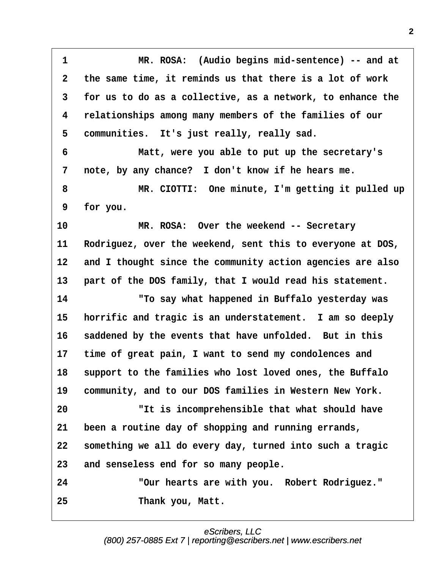<span id="page-1-0"></span>**·1· · · · · · ·MR. ROSA:· (Audio begins mid-sentence) -- and at ·2· ·the same time, it reminds us that there is a lot of work ·3· ·for us to do as a collective, as a network, to enhance the ·4· ·relationships among many members of the families of our** 5 communities. It's just really, really sad. **·6· · · · · · ·Matt, were you able to put up the secretary's** 7 note, by any chance? I don't know if he hears me. **·8· · · · · · ·MR. CIOTTI:· One minute, I'm getting it pulled up ·9· ·for you. 10· · · · · · ·MR. ROSA:· Over the weekend -- Secretary** 11 Rodriguez, over the weekend, sent this to everyone at DOS, 12 and I thought since the community action agencies are also 13 part of the DOS family, that I would read his statement. **14· · · · · · ·"To say what happened in Buffalo yesterday was** 15 **horrific and tragic is an understatement.** I am so deeply 16 saddened by the events that have unfolded. But in this 17 time of great pain, I want to send my condolences and 18 support to the families who lost loved ones, the Buffalo 19 community, and to our DOS families in Western New York. **20· · · · · · ·"It is incomprehensible that what should have 21· ·been a routine day of shopping and running errands, 22· ·something we all do every day, turned into such a tragic 23· ·and senseless end for so many people. 24· · · · · · ·"Our hearts are with you.· Robert Rodriguez." 25· · · · · · ·Thank you, Matt.**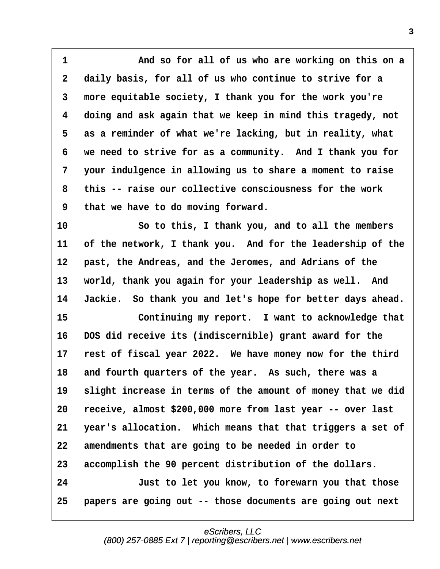<span id="page-2-0"></span>**·1· · · · · · ·And so for all of us who are working on this on a ·2· ·daily basis, for all of us who continue to strive for a ·3· ·more equitable society, I thank you for the work you're ·4· ·doing and ask again that we keep in mind this tragedy, not ·5· ·as a reminder of what we're lacking, but in reality, what ·6· ·we need to strive for as a community.· And I thank you for ·7· ·your indulgence in allowing us to share a moment to raise ·8· ·this -- raise our collective consciousness for the work ·9· ·that we have to do moving forward.**

**10· · · · · · ·So to this, I thank you, and to all the members** 11 of the network, I thank you. And for the leadership of the 12 **past, the Andreas, and the Jeromes, and Adrians of the** 13 world, thank you again for your leadership as well. And 14 Jackie. So thank you and let's hope for better days ahead.

15 **15** Continuing my report. I want to acknowledge that **16· ·DOS did receive its (indiscernible) grant award for the** 17 rest of fiscal year 2022. We have money now for the third 18 and fourth quarters of the year. As such, there was a 19 slight increase in terms of the amount of money that we did **20· ·receive, almost \$200,000 more from last year -- over last 21· ·year's allocation.· Which means that that triggers a set of** 22 amendments that are going to be needed in order to **23· ·accomplish the 90 percent distribution of the dollars. 24· · · · · · ·Just to let you know, to forewarn you that those 25· ·papers are going out -- those documents are going out next**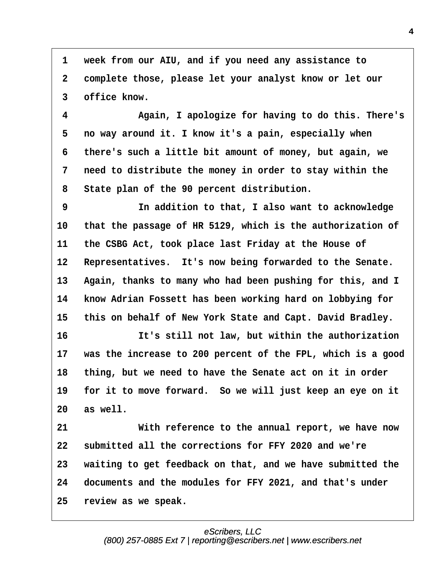<span id="page-3-0"></span>**·1· ·week from our AIU, and if you need any assistance to ·2· ·complete those, please let your analyst know or let our ·3· ·office know.**

**·4· · · · · · ·Again, I apologize for having to do this. There's ·5· ·no way around it. I know it's a pain, especially when ·6· ·there's such a little bit amount of money, but again, we ·7· ·need to distribute the money in order to stay within the ·8· ·State plan of the 90 percent distribution.**

**·9· · · · · · ·In addition to that, I also want to acknowledge 10· ·that the passage of HR 5129, which is the authorization of 11· ·the CSBG Act, took place last Friday at the House of** 12 Representatives. It's now being forwarded to the Senate. 13 Again, thanks to many who had been pushing for this, and I **14· ·know Adrian Fossett has been working hard on lobbying for** 15 this on behalf of New York State and Capt. David Bradley.

**16· · · · · · ·It's still not law, but within the authorization 17· ·was the increase to 200 percent of the FPL, which is a good 18· ·thing, but we need to have the Senate act on it in order** 19 for it to move forward. So we will just keep an eye on it **20· ·as well.**

**21· · · · · · ·With reference to the annual report, we have now 22· ·submitted all the corrections for FFY 2020 and we're 23· ·waiting to get feedback on that, and we have submitted the 24· ·documents and the modules for FFY 2021, and that's under 25· ·review as we speak.**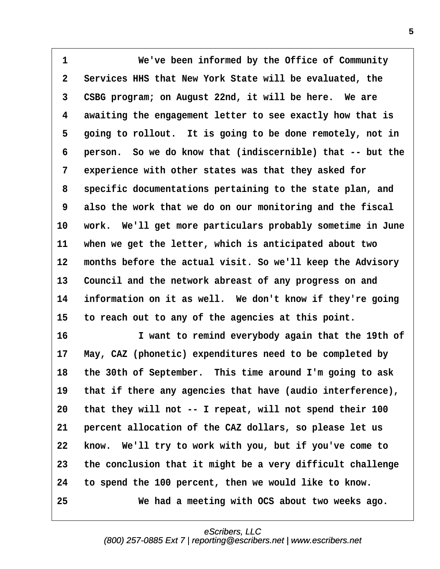<span id="page-4-0"></span>1 *We've been informed by the Office of Community* **·2· ·Services HHS that New York State will be evaluated, the 3** CSBG program; on August 22nd, it will be here. We are **·4· ·awaiting the engagement letter to see exactly how that is** 5 going to rollout. It is going to be done remotely, not in **·6· ·person.· So we do know that (indiscernible) that -- but the ·7· ·experience with other states was that they asked for ·8· ·specific documentations pertaining to the state plan, and ·9· ·also the work that we do on our monitoring and the fiscal** 10 work. We'll get more particulars probably sometime in June **11· ·when we get the letter, which is anticipated about two** 12 months before the actual visit. So we'll keep the Advisory 13 Council and the network abreast of any progress on and 14 information on it as well. We don't know if they're going 15 to reach out to any of the agencies at this point.

**16· · · · · · ·I want to remind everybody again that the 19th of** 17 May, CAZ (phonetic) expenditures need to be completed by 18 the 30th of September. This time around I'm going to ask 19 that if there any agencies that have (audio interference), **20· ·that they will not -- I repeat, will not spend their 100 21· ·percent allocation of the CAZ dollars, so please let us 22· ·know.· We'll try to work with you, but if you've come to 23· ·the conclusion that it might be a very difficult challenge 24· ·to spend the 100 percent, then we would like to know. 25· · · · · · ·We had a meeting with OCS about two weeks ago.**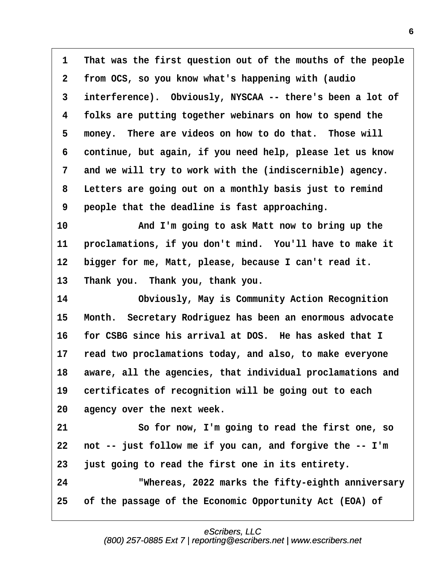<span id="page-5-0"></span>**·1· ·That was the first question out of the mouths of the people ·2· ·from OCS, so you know what's happening with (audio ·3· ·interference).· Obviously, NYSCAA -- there's been a lot of ·4· ·folks are putting together webinars on how to spend the** 5 money. There are videos on how to do that. Those will **·6· ·continue, but again, if you need help, please let us know ·7· ·and we will try to work with the (indiscernible) agency. ·8· ·Letters are going out on a monthly basis just to remind ·9· ·people that the deadline is fast approaching. 10· · · · · · ·And I'm going to ask Matt now to bring up the 11· ·proclamations, if you don't mind.· You'll have to make it**

12 bigger for me, Matt, please, because I can't read it.

13 Thank you. Thank you, thank you.

**14· · · · · · ·Obviously, May is Community Action Recognition** 15 Month. Secretary Rodriguez has been an enormous advocate **16· ·for CSBG since his arrival at DOS.· He has asked that I 17· ·read two proclamations today, and also, to make everyone** 18 aware, all the agencies, that individual proclamations and 19 certificates of recognition will be going out to each **20· ·agency over the next week.**

**21· · · · · · ·So for now, I'm going to read the first one, so 22· ·not -- just follow me if you can, and forgive the -- I'm 23· ·just going to read the first one in its entirety. 24· · · · · · ·"Whereas, 2022 marks the fifty-eighth anniversary 25· ·of the passage of the Economic Opportunity Act (EOA) of**

# eScribers, LLC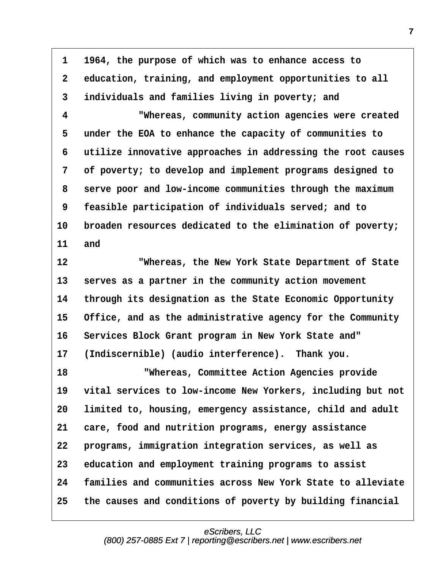<span id="page-6-0"></span>**·1· ·1964, the purpose of which was to enhance access to ·2· ·education, training, and employment opportunities to all ·3· ·individuals and families living in poverty; and ·4· · · · · · ·"Whereas, community action agencies were created ·5· ·under the EOA to enhance the capacity of communities to ·6· ·utilize innovative approaches in addressing the root causes ·7· ·of poverty; to develop and implement programs designed to ·8· ·serve poor and low-income communities through the maximum ·9· ·feasible participation of individuals served; and to** 10 broaden resources dedicated to the elimination of poverty; **11· ·and 12· · · · · · ·"Whereas, the New York State Department of State** 13 **serves as a partner in the community action movement 14· ·through its designation as the State Economic Opportunity** 15 Office, and as the administrative agency for the Community 16 Services Block Grant program in New York State and" 17 (Indiscernible) (audio interference). Thank you. **18· · · · · · · "Whereas, Committee Action Agencies provide 19· ·vital services to low-income New Yorkers, including but not** 20 **limited to, housing, emergency assistance, child and adult 21· ·care, food and nutrition programs, energy assistance 22· ·programs, immigration integration services, as well as 23· ·education and employment training programs to assist 24· ·families and communities across New York State to alleviate 25· ·the causes and conditions of poverty by building financial**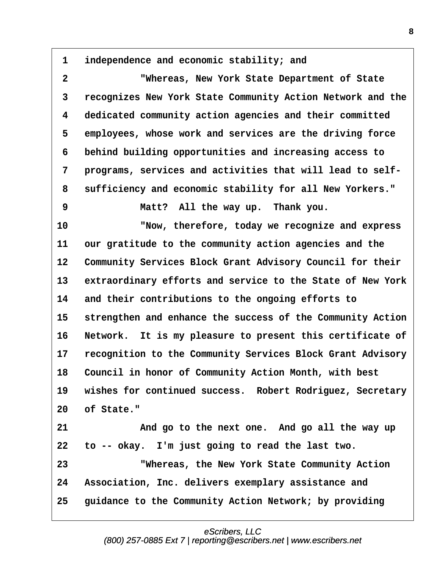<span id="page-7-0"></span>**·1· ·independence and economic stability; and**

**·2· · · · · · ·"Whereas, New York State Department of State ·3· ·recognizes New York State Community Action Network and the ·4· ·dedicated community action agencies and their committed ·5· ·employees, whose work and services are the driving force ·6· ·behind building opportunities and increasing access to ·7· ·programs, services and activities that will lead to self- ·8· ·sufficiency and economic stability for all New Yorkers."**

**·9· · · · · · ·Matt?· All the way up.· Thank you.**

**10· · · · · · ·"Now, therefore, today we recognize and express 11· ·our gratitude to the community action agencies and the** 12 Community Services Block Grant Advisory Council for their 13 extraordinary efforts and service to the State of New York **14· ·and their contributions to the ongoing efforts to** 15 strengthen and enhance the success of the Community Action 16 Network. It is my pleasure to present this certificate of 17 recognition to the Community Services Block Grant Advisory 18 Council in honor of Community Action Month, with best 19 wishes for continued success. Robert Rodriguez, Secretary **20· ·of State."**

**21· · · · · · ·And go to the next one.· And go all the way up 22· ·to -- okay.· I'm just going to read the last two. 23· · · · · · ·"Whereas, the New York State Community Action 24· ·Association, Inc. delivers exemplary assistance and** 25 • guidance to the Community Action Network; by providing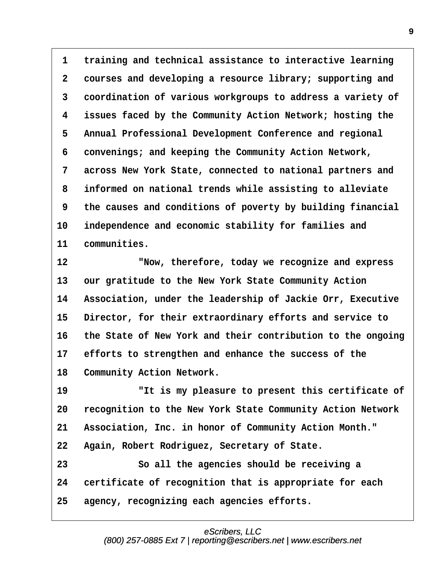<span id="page-8-0"></span>**·1· ·training and technical assistance to interactive learning ·2· ·courses and developing a resource library; supporting and ·3· ·coordination of various workgroups to address a variety of ·4· ·issues faced by the Community Action Network; hosting the ·5· ·Annual Professional Development Conference and regional ·6· ·convenings; and keeping the Community Action Network, ·7· ·across New York State, connected to national partners and ·8· ·informed on national trends while assisting to alleviate ·9· ·the causes and conditions of poverty by building financial** 10 independence and economic stability for families and 11 communities.

**12· · · · · · ·"Now, therefore, today we recognize and express** 13 our gratitude to the New York State Community Action 14 Association, under the leadership of Jackie Orr, Executive 15 Director, for their extraordinary efforts and service to **16· ·the State of New York and their contribution to the ongoing** 17 efforts to strengthen and enhance the success of the 18 Community Action Network.

**19· · · · · · ·"It is my pleasure to present this certificate of 20· ·recognition to the New York State Community Action Network** 21 Association, Inc. in honor of Community Action Month." **22· ·Again, Robert Rodriguez, Secretary of State. 23· · · · · · ·So all the agencies should be receiving a** 24 certificate of recognition that is appropriate for each **25· ·agency, recognizing each agencies efforts.**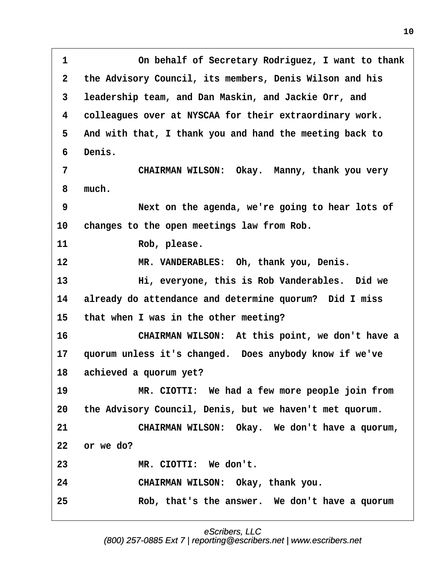<span id="page-9-0"></span>**·1· · · · · · ·On behalf of Secretary Rodriguez, I want to thank ·2· ·the Advisory Council, its members, Denis Wilson and his ·3· ·leadership team, and Dan Maskin, and Jackie Orr, and ·4· ·colleagues over at NYSCAA for their extraordinary work. ·5· ·And with that, I thank you and hand the meeting back to ·6· ·Denis. ·7· · · · · · ·CHAIRMAN WILSON:· Okay.· Manny, thank you very ·8· ·much. ·9· · · · · · ·Next on the agenda, we're going to hear lots of** 10 changes to the open meetings law from Rob. 11 Rob, please. 12 **8 TH. VANDERABLES: Oh, thank you, Denis. 13· · · · · · ·Hi, everyone, this is Rob Vanderables.· Did we 14· ·already do attendance and determine quorum?· Did I miss 15· ·that when I was in the other meeting? 16· · · · · · ·CHAIRMAN WILSON:· At this point, we don't have a 17· ·quorum unless it's changed.· Does anybody know if we've** 18 achieved a quorum yet? **19· · · · · · ·MR. CIOTTI:· We had a few more people join from 20· ·the Advisory Council, Denis, but we haven't met quorum. 21· · · · · · ·CHAIRMAN WILSON:· Okay.· We don't have a quorum, 22· ·or we do? 23· · · · · · ·MR. CIOTTI:· We don't.** 24 **CHAIRMAN WILSON: Okay, thank you. 25· · · · · · ·Rob, that's the answer.· We don't have a quorum**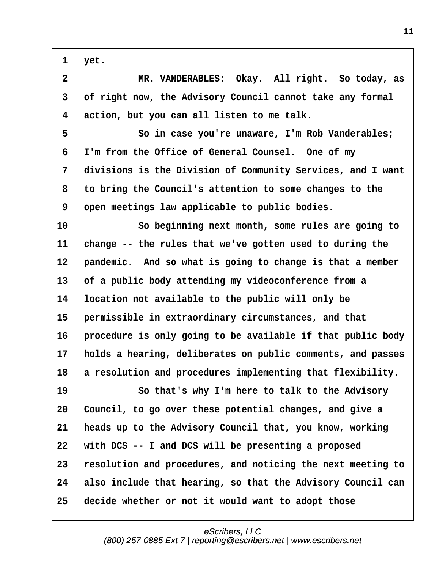<span id="page-10-0"></span>**·1· ·yet.**

**·2· · · · · · ·MR. VANDERABLES:· Okay.· All right.· So today, as ·3· ·of right now, the Advisory Council cannot take any formal ·4· ·action, but you can all listen to me talk.**

**·5· · · · · · ·So in case you're unaware, I'm Rob Vanderables; ·6· ·I'm from the Office of General Counsel.· One of my ·7· ·divisions is the Division of Community Services, and I want ·8· ·to bring the Council's attention to some changes to the ·9· ·open meetings law applicable to public bodies.**

**10· · · · · · ·So beginning next month, some rules are going to 11· ·change -- the rules that we've gotten used to during the** 12 **pandemic.** And so what is going to change is that a member **13· ·of a public body attending my videoconference from a 14· ·location not available to the public will only be** 15 **· permissible in extraordinary circumstances, and that** 16 **· procedure is only going to be available if that public body 17· ·holds a hearing, deliberates on public comments, and passes** 18 a resolution and procedures implementing that flexibility.

19 **80 Southat's why I'm here to talk to the Advisory 20· ·Council, to go over these potential changes, and give a 21· ·heads up to the Advisory Council that, you know, working 22· ·with DCS -- I and DCS will be presenting a proposed 23· ·resolution and procedures, and noticing the next meeting to 24· ·also include that hearing, so that the Advisory Council can 25· ·decide whether or not it would want to adopt those**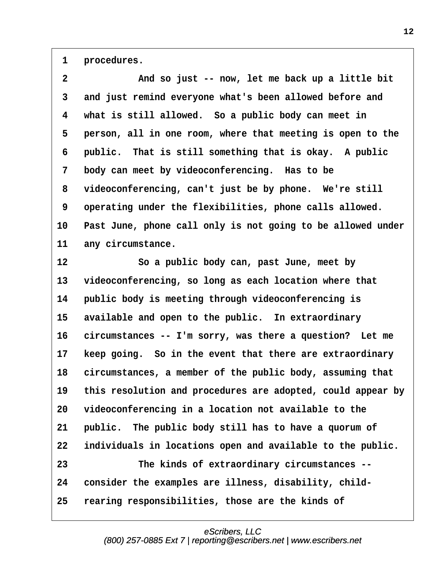<span id="page-11-0"></span>1 **procedures.** 

| and just remind everyone what's been allowed before and<br>what is still allowed. So a public body can meet in<br>person, all in one room, where that meeting is open to the<br>public. That is still something that is okay. A public<br>body can meet by videoconferencing. Has to be<br>videoconferencing, can't just be by phone. We're still<br>operating under the flexibilities, phone calls allowed. |
|--------------------------------------------------------------------------------------------------------------------------------------------------------------------------------------------------------------------------------------------------------------------------------------------------------------------------------------------------------------------------------------------------------------|
|                                                                                                                                                                                                                                                                                                                                                                                                              |
|                                                                                                                                                                                                                                                                                                                                                                                                              |
|                                                                                                                                                                                                                                                                                                                                                                                                              |
|                                                                                                                                                                                                                                                                                                                                                                                                              |
|                                                                                                                                                                                                                                                                                                                                                                                                              |
|                                                                                                                                                                                                                                                                                                                                                                                                              |
|                                                                                                                                                                                                                                                                                                                                                                                                              |
| Past June, phone call only is not going to be allowed under                                                                                                                                                                                                                                                                                                                                                  |
| any circumstance.                                                                                                                                                                                                                                                                                                                                                                                            |
| So a public body can, past June, meet by                                                                                                                                                                                                                                                                                                                                                                     |
| videoconferencing, so long as each location where that                                                                                                                                                                                                                                                                                                                                                       |
| public body is meeting through videoconferencing is                                                                                                                                                                                                                                                                                                                                                          |
| available and open to the public. In extraordinary                                                                                                                                                                                                                                                                                                                                                           |
| circumstances -- I'm sorry, was there a question? Let me                                                                                                                                                                                                                                                                                                                                                     |
| keep going. So in the event that there are extraordinary                                                                                                                                                                                                                                                                                                                                                     |
| circumstances, a member of the public body, assuming that                                                                                                                                                                                                                                                                                                                                                    |
| this resolution and procedures are adopted, could appear by                                                                                                                                                                                                                                                                                                                                                  |
| videoconferencing in a location not available to the                                                                                                                                                                                                                                                                                                                                                         |
| public. The public body still has to have a quorum of                                                                                                                                                                                                                                                                                                                                                        |
| individuals in locations open and available to the public.                                                                                                                                                                                                                                                                                                                                                   |
| The kinds of extraordinary circumstances --                                                                                                                                                                                                                                                                                                                                                                  |
|                                                                                                                                                                                                                                                                                                                                                                                                              |
| consider the examples are illness, disability, child-                                                                                                                                                                                                                                                                                                                                                        |
|                                                                                                                                                                                                                                                                                                                                                                                                              |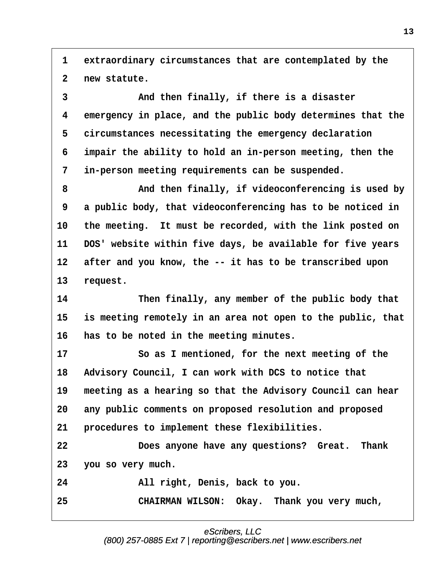<span id="page-12-0"></span>**·1· ·extraordinary circumstances that are contemplated by the ·2· ·new statute.**

**·3· · · · · · ·And then finally, if there is a disaster ·4· ·emergency in place, and the public body determines that the** 5 circumstances necessitating the emergency declaration **·6· ·impair the ability to hold an in-person meeting, then the ·7· ·in-person meeting requirements can be suspended.**

**·8· · · · · · ·And then finally, if videoconferencing is used by ·9· ·a public body, that videoconferencing has to be noticed in** 10 the meeting. It must be recorded, with the link posted on **11· ·DOS' website within five days, be available for five years** 12 after and you know, the -- it has to be transcribed upon 13 request.

14 **Then finally, any member of the public body that 15· ·is meeting remotely in an area not open to the public, that 16· ·has to be noted in the meeting minutes.**

**17· · · · · · ·So as I mentioned, for the next meeting of the** 18 Advisory Council, I can work with DCS to notice that 19 meeting as a hearing so that the Advisory Council can hear **20· ·any public comments on proposed resolution and proposed** 21 **procedures to implement these flexibilities.** 

**22· · · · · · ·Does anyone have any questions?· Great.· Thank 23· ·you so very much.**

**24· · · · · · ·All right, Denis, back to you.**

25 **• 25** CHAIRMAN WILSON: Okay. Thank you very much,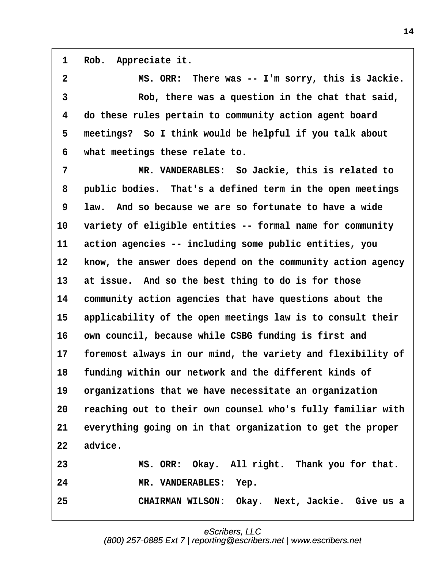<span id="page-13-0"></span>1 Rob. Appreciate it.

**·2· · · · · · ·MS. ORR:· There was -- I'm sorry, this is Jackie. ·3· · · · · · ·Rob, there was a question in the chat that said, ·4· ·do these rules pertain to community action agent board ·5· ·meetings?· So I think would be helpful if you talk about ·6· ·what meetings these relate to.**

**·7· · · · · · ·MR. VANDERABLES:· So Jackie, this is related to ·8· ·public bodies.· That's a defined term in the open meetings ·9· ·law.· And so because we are so fortunate to have a wide 10· ·variety of eligible entities -- formal name for community 11· ·action agencies -- including some public entities, you** 12 know, the answer does depend on the community action agency **13· ·at issue.· And so the best thing to do is for those 14· ·community action agencies that have questions about the** 15 applicability of the open meetings law is to consult their 16 own council, because while CSBG funding is first and 17 foremost always in our mind, the variety and flexibility of **18· ·funding within our network and the different kinds of** 19 organizations that we have necessitate an organization **20· ·reaching out to their own counsel who's fully familiar with 21· ·everything going on in that organization to get the proper** 22 advice. **23· · · · · · ·MS. ORR:· Okay.· All right.· Thank you for that.** 24 MR. VANDERABLES: Yep.

**25· · · · · · ·CHAIRMAN WILSON:· Okay.· Next, Jackie.· Give us a**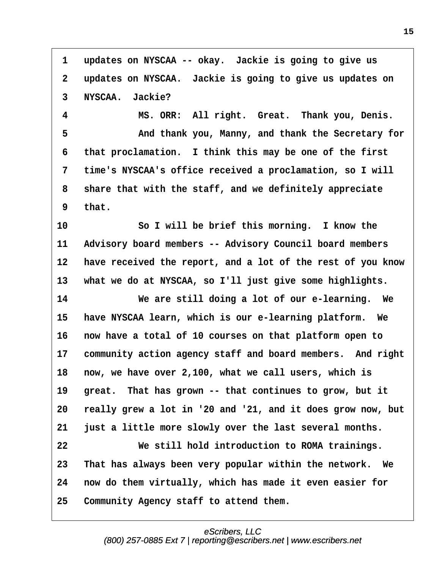<span id="page-14-0"></span>1 updates on NYSCAA -- okay. Jackie is going to give us **·2· ·updates on NYSCAA.· Jackie is going to give us updates on ·3· ·NYSCAA.· Jackie?**

**·4· · · · · · ·MS. ORR:· All right.· Great.· Thank you, Denis. ·5· · · · · · ·And thank you, Manny, and thank the Secretary for ·6· ·that proclamation.· I think this may be one of the first ·7· ·time's NYSCAA's office received a proclamation, so I will ·8· ·share that with the staff, and we definitely appreciate ·9· ·that.**

**10· · · · · · ·So I will be brief this morning.· I know the** 11 Advisory board members -- Advisory Council board members **12· ·have received the report, and a lot of the rest of you know** 13 what we do at NYSCAA, so I'll just give some highlights.

**14· · · · · · ·We are still doing a lot of our e-learning.· We** 15 have NYSCAA learn, which is our e-learning platform. We **16· ·now have a total of 10 courses on that platform open to 17· ·community action agency staff and board members.· And right 18· ·now, we have over 2,100, what we call users, which is** 19 great. That has grown -- that continues to grow, but it **20· ·really grew a lot in '20 and '21, and it does grow now, but** 21 **just a little more slowly over the last several months. 22· · · · · · ·We still hold introduction to ROMA trainings. 23· ·That has always been very popular within the network.· We 24· ·now do them virtually, which has made it even easier for**

**25· ·Community Agency staff to attend them.**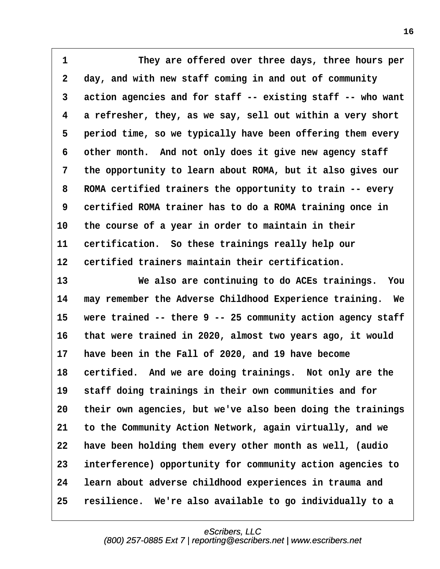<span id="page-15-0"></span>**·1· · · · · · ·They are offered over three days, three hours per ·2· ·day, and with new staff coming in and out of community ·3· ·action agencies and for staff -- existing staff -- who want ·4· ·a refresher, they, as we say, sell out within a very short ·5· ·period time, so we typically have been offering them every** 6 other month. And not only does it give new agency staff **·7· ·the opportunity to learn about ROMA, but it also gives our ·8· ·ROMA certified trainers the opportunity to train -- every ·9· ·certified ROMA trainer has to do a ROMA training once in 10· ·the course of a year in order to maintain in their** 11 certification. So these trainings really help our **12· ·certified trainers maintain their certification.**

**13· · · · · · ·We also are continuing to do ACEs trainings.· You 14· ·may remember the Adverse Childhood Experience training.· We** 15 were trained -- there 9 -- 25 community action agency staff **16· ·that were trained in 2020, almost two years ago, it would** 17 have been in the Fall of 2020, and 19 have become 18 certified. And we are doing trainings. Not only are the 19 staff doing trainings in their own communities and for **20· ·their own agencies, but we've also been doing the trainings 21· ·to the Community Action Network, again virtually, and we 22· ·have been holding them every other month as well, (audio 23· ·interference) opportunity for community action agencies to 24· ·learn about adverse childhood experiences in trauma and 25· ·resilience.· We're also available to go individually to a**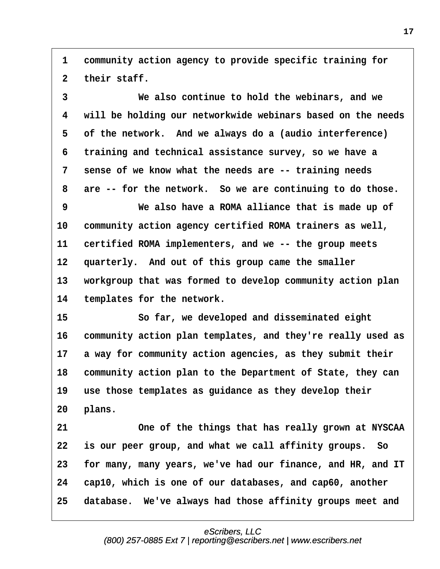<span id="page-16-0"></span>**·1· ·community action agency to provide specific training for** 2 their staff.

**·3· · · · · · ·We also continue to hold the webinars, and we ·4· ·will be holding our networkwide webinars based on the needs ·5· ·of the network.· And we always do a (audio interference) ·6· ·training and technical assistance survey, so we have a ·7· ·sense of we know what the needs are -- training needs** 8 are -- for the network. So we are continuing to do those. **·9· · · · · · ·We also have a ROMA alliance that is made up of** 10 community action agency certified ROMA trainers as well, **11· ·certified ROMA implementers, and we -- the group meets** 12 quarterly. And out of this group came the smaller 13 workgroup that was formed to develop community action plan 14 templates for the network. **15· · · · · · ·So far, we developed and disseminated eight 16· ·community action plan templates, and they're really used as** 17 a way for community action agencies, as they submit their 18 community action plan to the Department of State, they can 19 use those templates as guidance as they develop their 20 plans. **21· · · · · · ·One of the things that has really grown at NYSCAA 22· ·is our peer group, and what we call affinity groups.· So 23· ·for many, many years, we've had our finance, and HR, and IT 24· ·cap10, which is one of our databases, and cap60, another** 25 database. We've always had those affinity groups meet and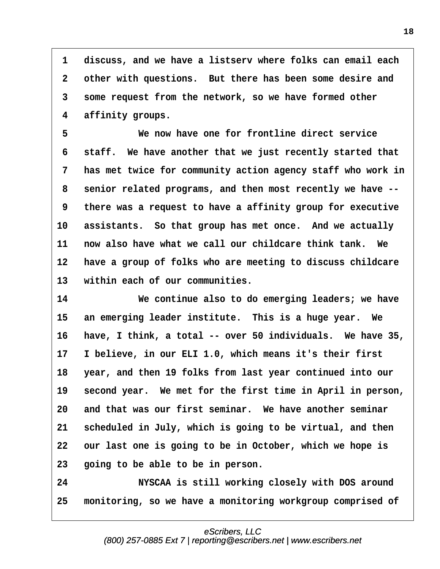<span id="page-17-0"></span>**·1· ·discuss, and we have a listserv where folks can email each ·2· ·other with questions.· But there has been some desire and ·3· ·some request from the network, so we have formed other ·4· ·affinity groups.**

**·5· · · · · · ·We now have one for frontline direct service ·6· ·staff.· We have another that we just recently started that ·7· ·has met twice for community action agency staff who work in ·8· ·senior related programs, and then most recently we have -- ·9· ·there was a request to have a affinity group for executive** 10 assistants. So that group has met once. And we actually **11· ·now also have what we call our childcare think tank.· We** 12 have a group of folks who are meeting to discuss childcare 13 within each of our communities.

**14· · · · · · ·We continue also to do emerging leaders; we have** 15 an emerging leader institute. This is a huge year. We 16 have, I think, a total -- over 50 individuals. We have 35, **17· ·I believe, in our ELI 1.0, which means it's their first 18· ·year, and then 19 folks from last year continued into our** 19 second year. We met for the first time in April in person, **20· ·and that was our first seminar.· We have another seminar 21· ·scheduled in July, which is going to be virtual, and then** 22 our last one is going to be in October, which we hope is **23· ·going to be able to be in person.**

**24· · · · · · ·NYSCAA is still working closely with DOS around 25· ·monitoring, so we have a monitoring workgroup comprised of**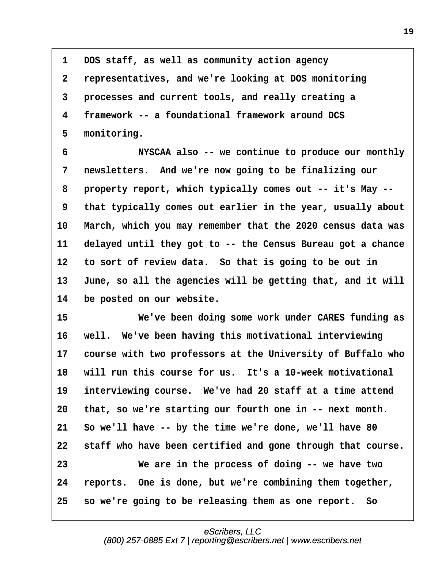<span id="page-18-0"></span>**·1· ·DOS staff, as well as community action agency ·2· ·representatives, and we're looking at DOS monitoring ·3· ·processes and current tools, and really creating a ·4· ·framework -- a foundational framework around DCS ·5· ·monitoring.**

**·6· · · · · · ·NYSCAA also -- we continue to produce our monthly ·7· ·newsletters.· And we're now going to be finalizing our ·8· ·property report, which typically comes out -- it's May -- ·9· ·that typically comes out earlier in the year, usually about** 10 March, which you may remember that the 2020 census data was **11· ·delayed until they got to -- the Census Bureau got a chance** 12 to sort of review data. So that is going to be out in 13 June, so all the agencies will be getting that, and it will 14 be posted on our website.

**15· · · · · · ·We've been doing some work under CARES funding as** 16 well. We've been having this motivational interviewing 17 course with two professors at the University of Buffalo who **18· ·will run this course for us.· It's a 10-week motivational** 19 interviewing course. We've had 20 staff at a time attend **20· ·that, so we're starting our fourth one in -- next month. 21· ·So we'll have -- by the time we're done, we'll have 80 22· ·staff who have been certified and gone through that course. 23· · · · · · ·We are in the process of doing -- we have two 24· ·reports.· One is done, but we're combining them together, 25· ·so we're going to be releasing them as one report.· So**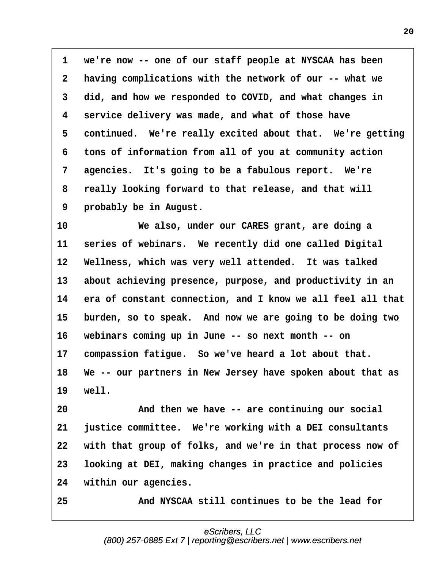<span id="page-19-0"></span>**·1· ·we're now -- one of our staff people at NYSCAA has been ·2· ·having complications with the network of our -- what we ·3· ·did, and how we responded to COVID, and what changes in ·4· ·service delivery was made, and what of those have** 5 continued. We're really excited about that. We're getting **·6· ·tons of information from all of you at community action** 7 agencies. It's going to be a fabulous report. We're **·8· ·really looking forward to that release, and that will ·9· ·probably be in August.**

**10· · · · · · ·We also, under our CARES grant, are doing a** 11 series of webinars. We recently did one called Digital 12 Wellness, which was very well attended. It was talked 13 about achieving presence, purpose, and productivity in an 14 era of constant connection, and I know we all feel all that 15 burden, so to speak. And now we are going to be doing two **16· ·webinars coming up in June -- so next month -- on** 17 compassion fatigue. So we've heard a lot about that. 18 We -- our partners in New Jersey have spoken about that as **19· ·well.**

**20· · · · · · ·And then we have -- are continuing our social 21· ·justice committee.· We're working with a DEI consultants 22· ·with that group of folks, and we're in that process now of 23· ·looking at DEI, making changes in practice and policies** 24 within our agencies.

**25· · · · · · ·And NYSCAA still continues to be the lead for**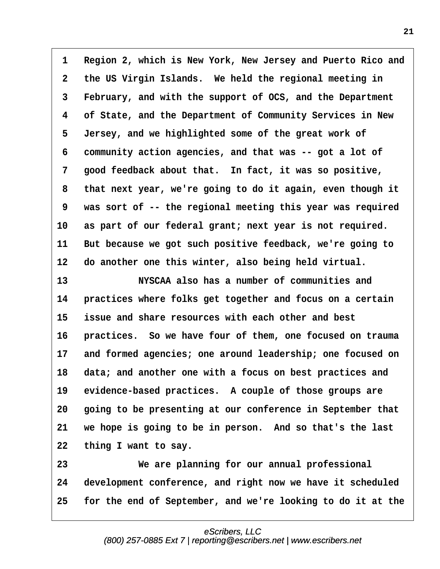<span id="page-20-0"></span>1 Region 2, which is New York, New Jersey and Puerto Rico and **·2· ·the US Virgin Islands.· We held the regional meeting in ·3· ·February, and with the support of OCS, and the Department ·4· ·of State, and the Department of Community Services in New ·5· ·Jersey, and we highlighted some of the great work of ·6· ·community action agencies, and that was -- got a lot of ·7· ·good feedback about that.· In fact, it was so positive, ·8· ·that next year, we're going to do it again, even though it ·9· ·was sort of -- the regional meeting this year was required** 10 as part of our federal grant; next year is not required. 11 But because we got such positive feedback, we're going to 12 do another one this winter, also being held virtual.

**13· · · · · · ·NYSCAA also has a number of communities and 14· ·practices where folks get together and focus on a certain 15· ·issue and share resources with each other and best** 16 **practices.** So we have four of them, one focused on trauma **17· ·and formed agencies; one around leadership; one focused on** 18 data; and another one with a focus on best practices and 19 evidence-based practices. A couple of those groups are 20 **going to be presenting at our conference in September that 21· ·we hope is going to be in person.· And so that's the last** 22 thing I want to say.

**23· · · · · · ·We are planning for our annual professional** 24 development conference, and right now we have it scheduled **25· ·for the end of September, and we're looking to do it at the**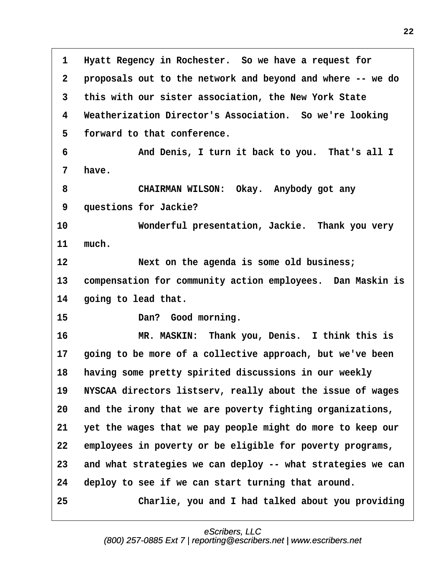<span id="page-21-0"></span>**·1· ·Hyatt Regency in Rochester.· So we have a request for ·2· ·proposals out to the network and beyond and where -- we do ·3· ·this with our sister association, the New York State ·4· ·Weatherization Director's Association.· So we're looking ·5· ·forward to that conference. ·6· · · · · · ·And Denis, I turn it back to you.· That's all I ·7· ·have. ·8· · · · · · ·CHAIRMAN WILSON:· Okay.· Anybody got any ·9· ·questions for Jackie? 10· · · · · · ·Wonderful presentation, Jackie.· Thank you very** 11 much. **12· · · · · · ·Next on the agenda is some old business;** 13 compensation for community action employees. Dan Maskin is 14 **going to lead that.** 15 **Dan?** Good morning. **16· · · · · · ·MR. MASKIN:· Thank you, Denis.· I think this is 17· ·going to be more of a collective approach, but we've been** 18 having some pretty spirited discussions in our weekly 19 **NYSCAA directors listserv, really about the issue of wages 20· ·and the irony that we are poverty fighting organizations, 21· ·yet the wages that we pay people might do more to keep our** 22 employees in poverty or be eligible for poverty programs, **23· ·and what strategies we can deploy -- what strategies we can** 24 deploy to see if we can start turning that around. **25· · · · · · ·Charlie, you and I had talked about you providing**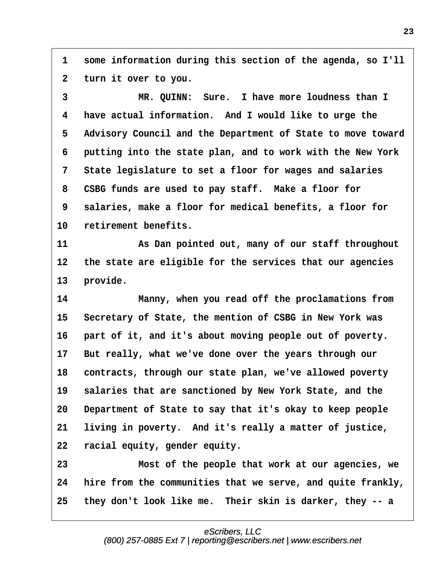<span id="page-22-0"></span>**·1· ·some information during this section of the agenda, so I'll ·2· ·turn it over to you.**

**·3· · · · · · ·MR. QUINN:· Sure.· I have more loudness than I ·4· ·have actual information.· And I would like to urge the ·5· ·Advisory Council and the Department of State to move toward ·6· ·putting into the state plan, and to work with the New York ·7· ·State legislature to set a floor for wages and salaries ·8· ·CSBG funds are used to pay staff.· Make a floor for ·9· ·salaries, make a floor for medical benefits, a floor for** 10 retirement benefits.

**11· · · · · · ·As Dan pointed out, many of our staff throughout** 12 the state are eligible for the services that our agencies 13 provide.

**14· · · · · · ·Manny, when you read off the proclamations from** 15 Secretary of State, the mention of CSBG in New York was 16 part of it, and it's about moving people out of poverty. **17· ·But really, what we've done over the years through our** 18 contracts, through our state plan, we've allowed poverty 19 salaries that are sanctioned by New York State, and the **20· ·Department of State to say that it's okay to keep people** 21 living in poverty. And it's really a matter of justice, **22· ·racial equity, gender equity.**

**23· · · · · · ·Most of the people that work at our agencies, we 24· ·hire from the communities that we serve, and quite frankly, 25· ·they don't look like me.· Their skin is darker, they -- a**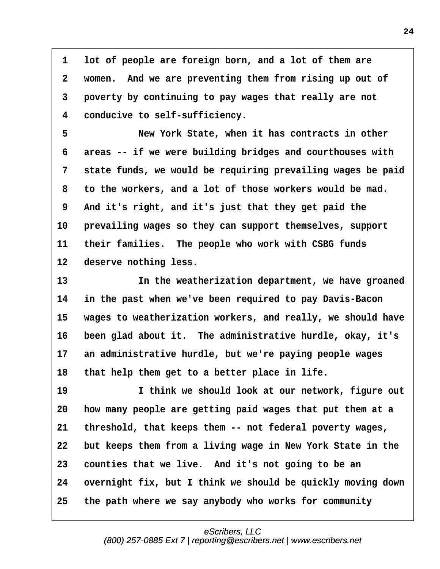<span id="page-23-0"></span>1 lot of people are foreign born, and a lot of them are **·2· ·women.· And we are preventing them from rising up out of ·3· ·poverty by continuing to pay wages that really are not ·4· ·conducive to self-sufficiency.**

**·5· · · · · · ·New York State, when it has contracts in other ·6· ·areas -- if we were building bridges and courthouses with ·7· ·state funds, we would be requiring prevailing wages be paid ·8· ·to the workers, and a lot of those workers would be mad. ·9· ·And it's right, and it's just that they get paid the 10· ·prevailing wages so they can support themselves, support 11· ·their families.· The people who work with CSBG funds** 12 deserve nothing less.

**13· · · · · · ·In the weatherization department, we have groaned 14· ·in the past when we've been required to pay Davis-Bacon** 15 wages to weatherization workers, and really, we should have 16 been glad about it. The administrative hurdle, okay, it's 17 an administrative hurdle, but we're paying people wages 18 that help them get to a better place in life.

**19· · · · · · ·I think we should look at our network, figure out 20· ·how many people are getting paid wages that put them at a 21· ·threshold, that keeps them -- not federal poverty wages, 22· ·but keeps them from a living wage in New York State in the 23· ·counties that we live.· And it's not going to be an** 24 overnight fix, but I think we should be quickly moving down **25· ·the path where we say anybody who works for community**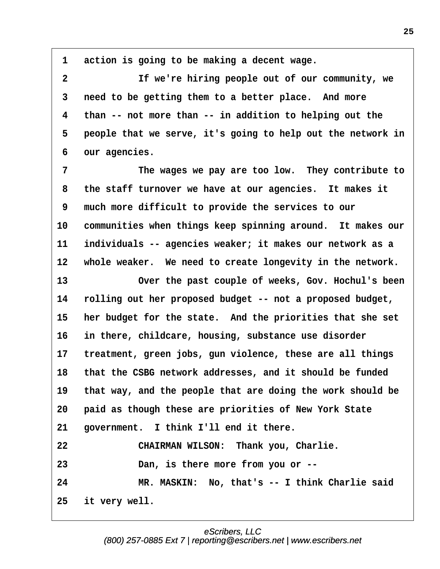<span id="page-24-0"></span>1 action is going to be making a decent wage. **·2· · · · · · ·If we're hiring people out of our community, we ·3· ·need to be getting them to a better place.· And more ·4· ·than -- not more than -- in addition to helping out the ·5· ·people that we serve, it's going to help out the network in ·6· ·our agencies. ·7· · · · · · ·The wages we pay are too low.· They contribute to ·8· ·the staff turnover we have at our agencies.· It makes it ·9· ·much more difficult to provide the services to our** 10 communities when things keep spinning around. It makes our **11· ·individuals -- agencies weaker; it makes our network as a** 12 whole weaker. We need to create longevity in the network. 13 **13** Over the past couple of weeks, Gov. Hochul's been **14· ·rolling out her proposed budget -- not a proposed budget,** 15 her budget for the state. And the priorities that she set 16 in there, childcare, housing, substance use disorder 17 treatment, green jobs, gun violence, these are all things **18· ·that the CSBG network addresses, and it should be funded** 19 that way, and the people that are doing the work should be **20· ·paid as though these are priorities of New York State** 21 *government.* I think I'll end it there. **22· · · · · · ·CHAIRMAN WILSON:· Thank you, Charlie. 23· · · · · · ·Dan, is there more from you or -- 24· · · · · · ·MR. MASKIN:· No, that's -- I think Charlie said 25· ·it very well.**

**25**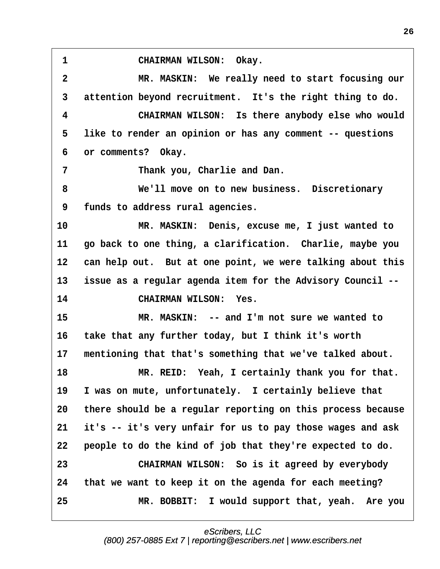<span id="page-25-0"></span>1 CHAIRMAN WILSON: Okay.

**·2· · · · · · ·MR. MASKIN:· We really need to start focusing our ·3· ·attention beyond recruitment.· It's the right thing to do. ·4· · · · · · ·CHAIRMAN WILSON:· Is there anybody else who would ·5· ·like to render an opinion or has any comment -- questions ·6· ·or comments?· Okay. ·7· · · · · · ·Thank you, Charlie and Dan. ·8· · · · · · ·We'll move on to new business.· Discretionary ·9· ·funds to address rural agencies. 10· · · · · · ·MR. MASKIN:· Denis, excuse me, I just wanted to 11· ·go back to one thing, a clarification.· Charlie, maybe you** 12 can help out. But at one point, we were talking about this **13· ·issue as a regular agenda item for the Advisory Council -- 14· · · · · · ·CHAIRMAN WILSON:· Yes. 15· · · · · · ·MR. MASKIN:· -- and I'm not sure we wanted to 16· ·take that any further today, but I think it's worth** 17 mentioning that that's something that we've talked about. **18· · · · · · ·MR. REID:· Yeah, I certainly thank you for that.** 19 I was on mute, unfortunately. I certainly believe that **20· ·there should be a regular reporting on this process because 21· ·it's -- it's very unfair for us to pay those wages and ask 22· ·people to do the kind of job that they're expected to do. 23· · · · · · ·CHAIRMAN WILSON:· So is it agreed by everybody 24· ·that we want to keep it on the agenda for each meeting? 25· · · · · · ·MR. BOBBIT:· I would support that, yeah.· Are you**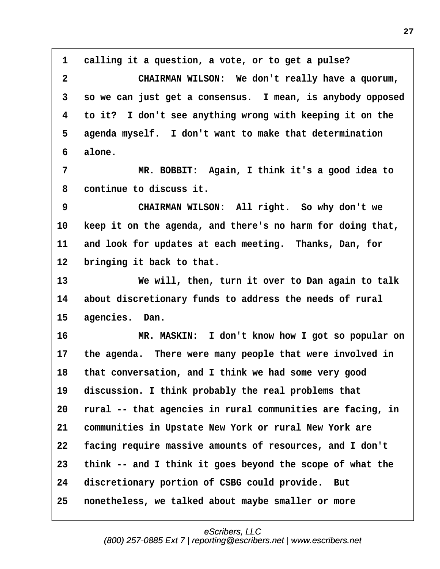<span id="page-26-0"></span>**·1· ·calling it a question, a vote, or to get a pulse? ·2· · · · · · ·CHAIRMAN WILSON:· We don't really have a quorum, ·3· ·so we can just get a consensus.· I mean, is anybody opposed ·4· ·to it?· I don't see anything wrong with keeping it on the ·5· ·agenda myself.· I don't want to make that determination ·6· ·alone. ·7· · · · · · ·MR. BOBBIT:· Again, I think it's a good idea to ·8· ·continue to discuss it. 9 CHAIRMAN WILSON:** All right. So why don't we **10· ·keep it on the agenda, and there's no harm for doing that,** 11 and look for updates at each meeting. Thanks, Dan, for 12 bringing it back to that. **13· · · · · · ·We will, then, turn it over to Dan again to talk 14· ·about discretionary funds to address the needs of rural** 15 agencies. Dan. **16· · · · · · ·MR. MASKIN:· I don't know how I got so popular on** 17 the agenda. There were many people that were involved in **18· ·that conversation, and I think we had some very good** 19 discussion. I think probably the real problems that **20· ·rural -- that agencies in rural communities are facing, in 21· ·communities in Upstate New York or rural New York are 22· ·facing require massive amounts of resources, and I don't 23· ·think -- and I think it goes beyond the scope of what the** 24 discretionary portion of CSBG could provide. But **25· ·nonetheless, we talked about maybe smaller or more**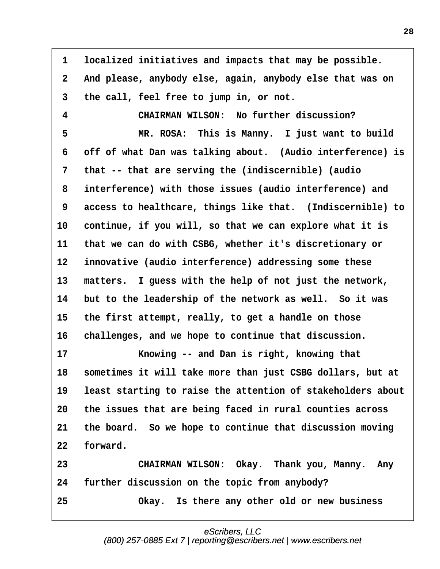<span id="page-27-0"></span>**·1· ·localized initiatives and impacts that may be possible. ·2· ·And please, anybody else, again, anybody else that was on ·3· ·the call, feel free to jump in, or not. ·4· · · · · · ·CHAIRMAN WILSON:· No further discussion? ·5· · · · · · ·MR. ROSA:· This is Manny.· I just want to build ·6· ·off of what Dan was talking about.· (Audio interference) is ·7· ·that -- that are serving the (indiscernible) (audio ·8· ·interference) with those issues (audio interference) and 9** access to healthcare, things like that. (Indiscernible) to 10 continue, if you will, so that we can explore what it is **11· ·that we can do with CSBG, whether it's discretionary or 12· ·innovative (audio interference) addressing some these** 13 matters. I guess with the help of not just the network, **14· ·but to the leadership of the network as well.· So it was 15· ·the first attempt, really, to get a handle on those 16· ·challenges, and we hope to continue that discussion. 17· · · · · · ·Knowing -- and Dan is right, knowing that** 18 sometimes it will take more than just CSBG dollars, but at 19 least starting to raise the attention of stakeholders about **20· ·the issues that are being faced in rural counties across** 21 the board. So we hope to continue that discussion moving 22 forward. **23· · · · · · ·CHAIRMAN WILSON:· Okay.· Thank you, Manny.· Any 24· ·further discussion on the topic from anybody? 25· · · · · · ·Okay.· Is there any other old or new business**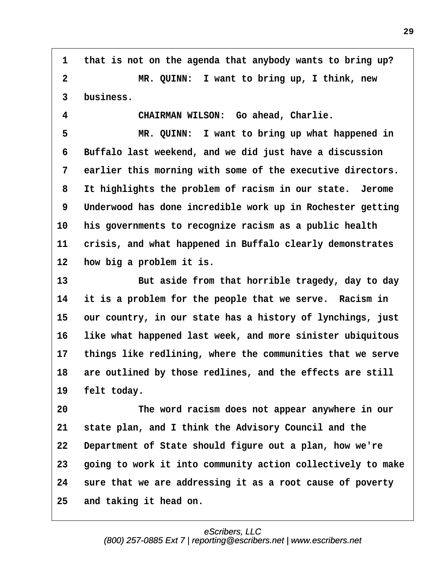<span id="page-28-0"></span>**·1· ·that is not on the agenda that anybody wants to bring up? ·2· · · · · · ·MR. QUINN:· I want to bring up, I think, new ·3· ·business.**

**·4· · · · · · ·CHAIRMAN WILSON:· Go ahead, Charlie.**

**·5· · · · · · ·MR. QUINN:· I want to bring up what happened in ·6· ·Buffalo last weekend, and we did just have a discussion ·7· ·earlier this morning with some of the executive directors. ·8· ·It highlights the problem of racism in our state.· Jerome ·9· ·Underwood has done incredible work up in Rochester getting 10· ·his governments to recognize racism as a public health** 11 crisis, and what happened in Buffalo clearly demonstrates 12 **how big a problem it is.** 

**13· · · · · · ·But aside from that horrible tragedy, day to day** 14 it is a problem for the people that we serve. Racism in 15 our country, in our state has a history of lynchings, just **16· ·like what happened last week, and more sinister ubiquitous** 17 things like redlining, where the communities that we serve 18 are outlined by those redlines, and the effects are still 19 **felt** today.

**20· · · · · · ·The word racism does not appear anywhere in our 21· ·state plan, and I think the Advisory Council and the 22· ·Department of State should figure out a plan, how we're 23· ·going to work it into community action collectively to make 24· ·sure that we are addressing it as a root cause of poverty 25· ·and taking it head on.**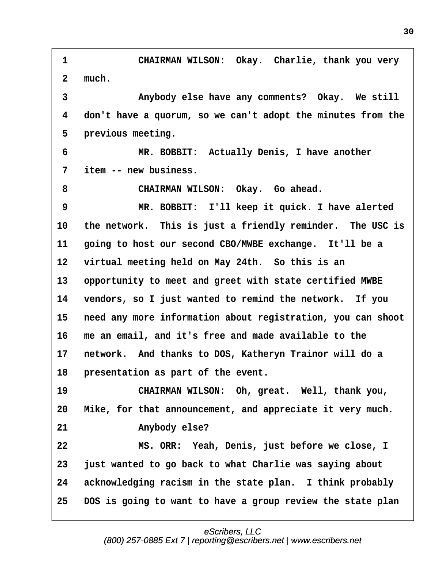<span id="page-29-0"></span>1 **· · · · · · CHAIRMAN WILSON: Okay. Charlie, thank you very** 2 much. **·3· · · · · · ·Anybody else have any comments?· Okay.· We still ·4· ·don't have a quorum, so we can't adopt the minutes from the** 5 **previous meeting. ·6· · · · · · ·MR. BOBBIT:· Actually Denis, I have another ·7· ·item -- new business.** 8 **· · · · · · · CHAIRMAN WILSON:** Okay. Go ahead. **·9· · · · · · ·MR. BOBBIT:· I'll keep it quick. I have alerted 10· ·the network.· This is just a friendly reminder.· The USC is 11** going to host our second CBO/MWBE exchange. It'll be a 12 virtual meeting held on May 24th. So this is an 13 opportunity to meet and greet with state certified MWBE **14· ·vendors, so I just wanted to remind the network.· If you 15· ·need any more information about registration, you can shoot 16· ·me an email, and it's free and made available to the** 17 network. And thanks to DOS, Katheryn Trainor will do a 18 **presentation as part of the event.** 19 **• CHAIRMAN WILSON: Oh, great.** Well, thank you, **20· ·Mike, for that announcement, and appreciate it very much.** 21 **Anybody else? 22· · · · · · ·MS. ORR:· Yeah, Denis, just before we close, I 23· ·just wanted to go back to what Charlie was saying about** 24 acknowledging racism in the state plan. I think probably **25· ·DOS is going to want to have a group review the state plan**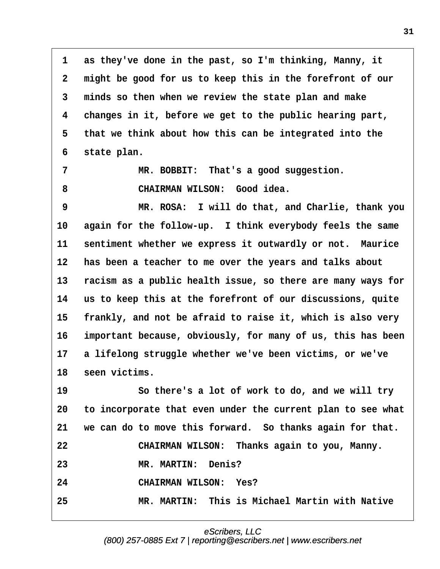<span id="page-30-0"></span>**·1· ·as they've done in the past, so I'm thinking, Manny, it ·2· ·might be good for us to keep this in the forefront of our ·3· ·minds so then when we review the state plan and make ·4· ·changes in it, before we get to the public hearing part, ·5· ·that we think about how this can be integrated into the ·6· ·state plan.**

7 MR. BOBBIT: That's a good suggestion. 8 **· · · · · · · CHAIRMAN WILSON:** Good idea.

**·9· · · · · · ·MR. ROSA:· I will do that, and Charlie, thank you 10· ·again for the follow-up.· I think everybody feels the same** 11 sentiment whether we express it outwardly or not. Maurice 12 has been a teacher to me over the years and talks about **13· ·racism as a public health issue, so there are many ways for 14· ·us to keep this at the forefront of our discussions, quite** 15 **frankly, and not be afraid to raise it, which is also very 16· ·important because, obviously, for many of us, this has been 17· ·a lifelong struggle whether we've been victims, or we've** 18 seen victims.

**19· · · · · · ·So there's a lot of work to do, and we will try 20· ·to incorporate that even under the current plan to see what 21· ·we can do to move this forward.· So thanks again for that. 22· · · · · · ·CHAIRMAN WILSON:· Thanks again to you, Manny. 23· · · · · · ·MR. MARTIN:· Denis? 24· · · · · · ·CHAIRMAN WILSON:· Yes? 25· · · · · · ·MR. MARTIN:· This is Michael Martin with Native**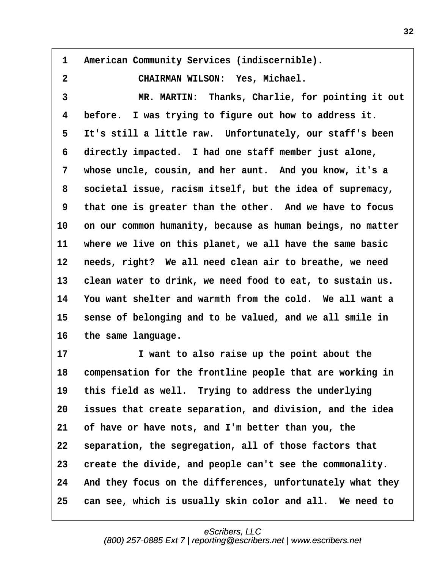<span id="page-31-0"></span>1 American Community Services (indiscernible). **·2· · · · · · ·CHAIRMAN WILSON:· Yes, Michael. ·3· · · · · · ·MR. MARTIN:· Thanks, Charlie, for pointing it out ·4· ·before.· I was trying to figure out how to address it. ·5· ·It's still a little raw.· Unfortunately, our staff's been ·6· ·directly impacted.· I had one staff member just alone, ·7· ·whose uncle, cousin, and her aunt.· And you know, it's a ·8· ·societal issue, racism itself, but the idea of supremacy, ·9· ·that one is greater than the other.· And we have to focus** 10 on our common humanity, because as human beings, no matter **11· ·where we live on this planet, we all have the same basic** 12 needs, right? We all need clean air to breathe, we need 13 clean water to drink, we need food to eat, to sustain us. **14· ·You want shelter and warmth from the cold.· We all want a** 15 sense of belonging and to be valued, and we all smile in 16 the same language. 17 **17 1** *u* **start to also raise up the point about the** 

18 compensation for the frontline people that are working in 19 this field as well. Trying to address the underlying **20· ·issues that create separation, and division, and the idea 21· ·of have or have nots, and I'm better than you, the 22· ·separation, the segregation, all of those factors that 23· ·create the divide, and people can't see the commonality.** 24 And they focus on the differences, unfortunately what they 25 can see, which is usually skin color and all. We need to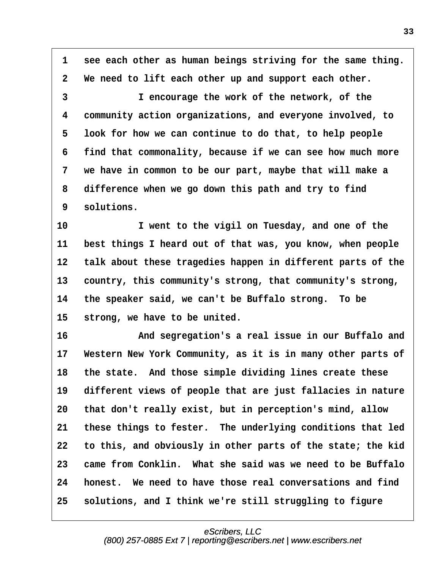<span id="page-32-0"></span>**·1· ·see each other as human beings striving for the same thing. ·2· ·We need to lift each other up and support each other.**

**·3· · · · · · ·I encourage the work of the network, of the ·4· ·community action organizations, and everyone involved, to ·5· ·look for how we can continue to do that, to help people ·6· ·find that commonality, because if we can see how much more ·7· ·we have in common to be our part, maybe that will make a ·8· ·difference when we go down this path and try to find ·9· ·solutions.**

10 **1 vent to the vigil on Tuesday, and one of the 11· ·best things I heard out of that was, you know, when people** 12 talk about these tragedies happen in different parts of the 13 country, this community's strong, that community's strong, **14· ·the speaker said, we can't be Buffalo strong.· To be** 15 strong, we have to be united.

**16· · · · · · ·And segregation's a real issue in our Buffalo and** 17 Western New York Community, as it is in many other parts of 18 the state. And those simple dividing lines create these 19 different views of people that are just fallacies in nature **20· ·that don't really exist, but in perception's mind, allow 21· ·these things to fester.· The underlying conditions that led 22· ·to this, and obviously in other parts of the state; the kid 23· ·came from Conklin.· What she said was we need to be Buffalo 24· ·honest.· We need to have those real conversations and find 25· ·solutions, and I think we're still struggling to figure**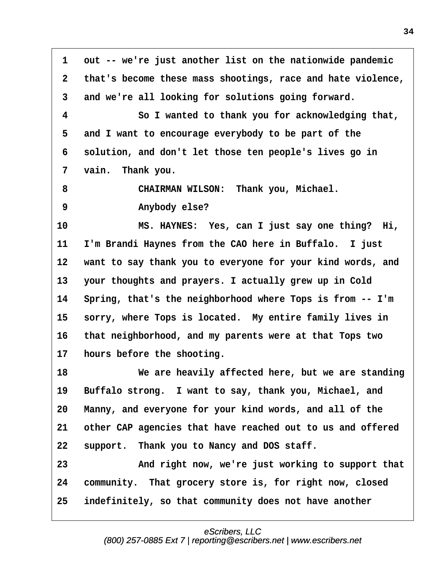<span id="page-33-0"></span>**·1· ·out -- we're just another list on the nationwide pandemic ·2· ·that's become these mass shootings, race and hate violence, ·3· ·and we're all looking for solutions going forward. ·4· · · · · · ·So I wanted to thank you for acknowledging that, ·5· ·and I want to encourage everybody to be part of the ·6· ·solution, and don't let those ten people's lives go in ·7· ·vain.· Thank you. ·8· · · · · · ·CHAIRMAN WILSON:· Thank you, Michael. ·9· · · · · · ·Anybody else? 10· · · · · · ·MS. HAYNES:· Yes, can I just say one thing?· Hi, 11· ·I'm Brandi Haynes from the CAO here in Buffalo.· I just 12· ·want to say thank you to everyone for your kind words, and 13· ·your thoughts and prayers. I actually grew up in Cold 14· ·Spring, that's the neighborhood where Tops is from -- I'm** 15 sorry, where Tops is located. My entire family lives in **16· ·that neighborhood, and my parents were at that Tops two 17· ·hours before the shooting. 18· · · · · · ·We are heavily affected here, but we are standing** 19 Buffalo strong. I want to say, thank you, Michael, and 20 Manny, and everyone for your kind words, and all of the **21· ·other CAP agencies that have reached out to us and offered** 22 support. Thank you to Nancy and DOS staff. **23· · · · · · ·And right now, we're just working to support that** 24 community. That grocery store is, for right now, closed **25· ·indefinitely, so that community does not have another**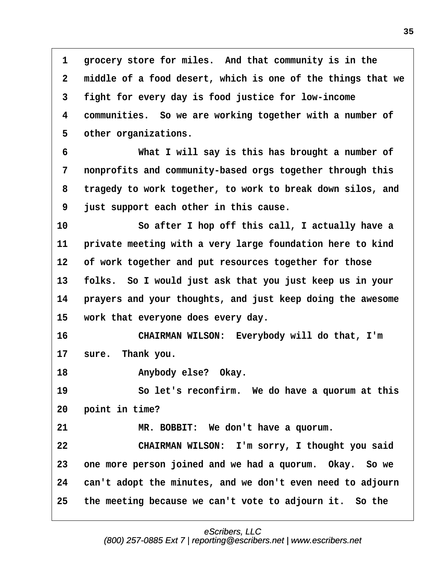<span id="page-34-0"></span>1 **erocery store for miles.** And that community is in the **·2· ·middle of a food desert, which is one of the things that we ·3· ·fight for every day is food justice for low-income ·4· ·communities.· So we are working together with a number of** 5 other organizations.

**·6· · · · · · ·What I will say is this has brought a number of ·7· ·nonprofits and community-based orgs together through this ·8· ·tragedy to work together, to work to break down silos, and ·9· ·just support each other in this cause.**

**10· · · · · · ·So after I hop off this call, I actually have a** 11 **· private meeting with a very large foundation here to kind 12· ·of work together and put resources together for those 13· ·folks.· So I would just ask that you just keep us in your** 14 *prayers and your thoughts, and just keep doing the awesome* 15 **work that everyone does every day.** 

**16· · · · · · ·CHAIRMAN WILSON:· Everybody will do that, I'm** 17 sure. Thank you.

**18· · · · · · ·Anybody else?· Okay.**

19 · · · · · So let's reconfirm. We do have a quorum at this **20· ·point in time?**

**21· · · · · · ·MR. BOBBIT:· We don't have a quorum.**

**22· · · · · · ·CHAIRMAN WILSON:· I'm sorry, I thought you said 23· ·one more person joined and we had a quorum.· Okay.· So we 24· ·can't adopt the minutes, and we don't even need to adjourn 25· ·the meeting because we can't vote to adjourn it.· So the**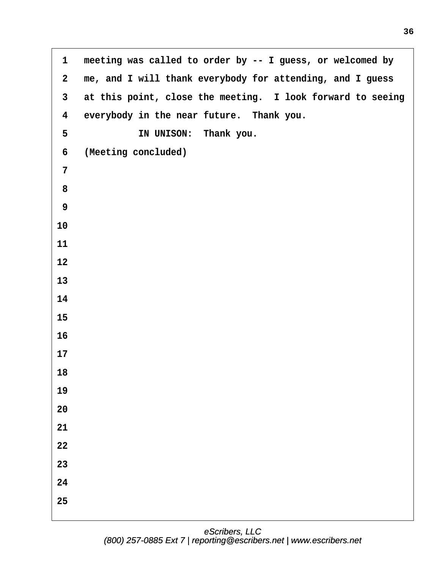<span id="page-35-0"></span>1 meeting was called to order by -- I guess, or welcomed by **·2· ·me, and I will thank everybody for attending, and I guess ·3· ·at this point, close the meeting.· I look forward to seeing** 4 everybody in the near future. Thank you. **·5· · · · · · ·IN UNISON:· Thank you. ·6· ·(Meeting concluded) ·7 ·8 ·9**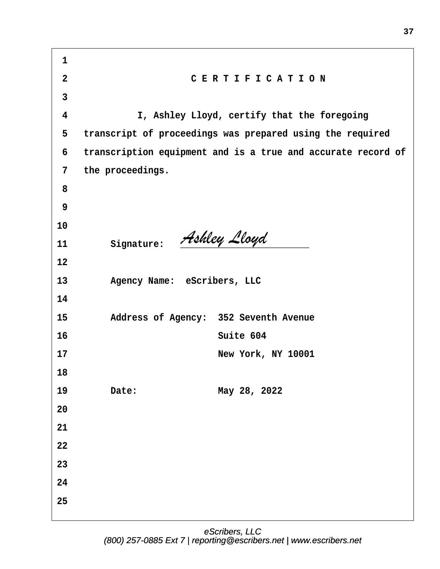| $\mathbf{1}$   |                             |                                                              |
|----------------|-----------------------------|--------------------------------------------------------------|
| $\overline{2}$ |                             | CERTIFICATION                                                |
| $\mathbf{3}$   |                             |                                                              |
| 4              |                             | I, Ashley Lloyd, certify that the foregoing                  |
| 5              |                             | transcript of proceedings was prepared using the required    |
| 6              |                             | transcription equipment and is a true and accurate record of |
| $\overline{7}$ | the proceedings.            |                                                              |
| 8              |                             |                                                              |
| 9              |                             |                                                              |
| 10             |                             |                                                              |
| 11             | Signature:                  | Ashley Lloyd                                                 |
| 12             |                             |                                                              |
| 13             | Agency Name: eScribers, LLC |                                                              |
| 14             |                             |                                                              |
| 15             |                             | Address of Agency: 352 Seventh Avenue                        |
| 16             |                             | Suite 604                                                    |
| 17             |                             | New York, NY 10001                                           |
| 18             |                             |                                                              |
| 19             | Date:                       | May 28, 2022                                                 |
| 20             |                             |                                                              |
| 21             |                             |                                                              |
| 22             |                             |                                                              |
| 23             |                             |                                                              |
| 24             |                             |                                                              |
| 25             |                             |                                                              |
|                |                             |                                                              |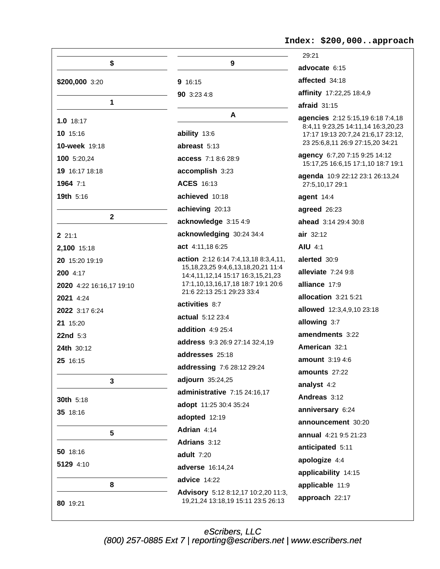|                          |                                                                                   | 29:21                                                                                                        |
|--------------------------|-----------------------------------------------------------------------------------|--------------------------------------------------------------------------------------------------------------|
| \$                       | 9                                                                                 | advocate 6:15                                                                                                |
| \$200,000 3:20           | 9 16:15                                                                           | affected 34:18                                                                                               |
|                          | 90 3:23 4:8                                                                       | affinity 17:22,25 18:4,9                                                                                     |
| $\mathbf 1$              |                                                                                   | $a$ fraid $31:15$                                                                                            |
| $1.0$ 18:17              | A                                                                                 | agencies 2:12 5:15,19 6:18 7:4,18                                                                            |
| 10 15:16                 | ability 13:6                                                                      | 8:4,11 9:23,25 14:11,14 16:3,20,23<br>17:17 19:13 20:7,24 21:6,17 23:12,<br>23 25:6,8,11 26:9 27:15,20 34:21 |
| 10-week 19:18            | abreast 5:13                                                                      |                                                                                                              |
| 100 5:20,24              | <b>access</b> 7:1 8:6 28:9                                                        | agency 6:7,20 7:15 9:25 14:12<br>15:17,25 16:6,15 17:1,10 18:7 19:1                                          |
| 19 16:17 18:18           | accomplish 3:23                                                                   | agenda 10:9 22:12 23:1 26:13,24                                                                              |
| 1964 7:1                 | ACES 16:13                                                                        | 27:5,10,17 29:1                                                                                              |
| 19th 5:16                | achieved 10:18                                                                    | agent 14:4                                                                                                   |
|                          | achieving 20:13                                                                   | agreed 26:23                                                                                                 |
| $\mathbf{2}$             | acknowledge 3:15 4:9                                                              | ahead 3:14 29:4 30:8                                                                                         |
| 221:1                    | acknowledging 30:24 34:4                                                          | air 32:12                                                                                                    |
| 2,100 15:18              | act 4:11,18 6:25                                                                  | <b>AIU 4:1</b>                                                                                               |
| 20 15:20 19:19           | action 2:12 6:14 7:4,13,18 8:3,4,11,                                              | alerted 30:9                                                                                                 |
| 200 4:17                 | 15, 18, 23, 25 9: 4, 6, 13, 18, 20, 21 11: 4<br>14:4,11,12,14 15:17 16:3,15,21,23 | alleviate 7:24 9:8                                                                                           |
| 2020 4:22 16:16,17 19:10 | 17:1,10,13,16,17,18 18:7 19:1 20:6                                                | alliance 17:9                                                                                                |
| 2021 4:24                | 21:6 22:13 25:1 29:23 33:4                                                        | allocation 3:21 5:21                                                                                         |
| 2022 3:17 6:24           | activities 8:7                                                                    | allowed 12:3,4,9,10 23:18                                                                                    |
| 21 15:20                 | actual 5:12 23:4                                                                  | allowing 3:7                                                                                                 |
| <b>22nd</b> $5:3$        | addition 4:9 25:4                                                                 | amendments 3:22                                                                                              |
| 24th 30:12               | <b>address</b> 9:3 26:9 27:14 32:4,19                                             | American 32:1                                                                                                |
| 25 16:15                 | addresses 25:18                                                                   | <b>amount</b> 3:19 4:6                                                                                       |
|                          | <b>addressing</b> 7:6 28:12 29:24                                                 | amounts 27:22                                                                                                |
| 3                        | adjourn 35:24,25                                                                  | analyst 4:2                                                                                                  |
| 30th 5:18                | administrative 7:15 24:16,17                                                      | Andreas 3:12                                                                                                 |
| 35 18:16                 | adopt 11:25 30:4 35:24                                                            | anniversary 6:24                                                                                             |
|                          | adopted 12:19                                                                     | announcement 30:20                                                                                           |
| 5                        | Adrian 4:14                                                                       | <b>annual</b> 4:21 9:5 21:23                                                                                 |
| 50 18:16                 | Adrians 3:12                                                                      | anticipated 5:11                                                                                             |
| 5129 4:10                | adult 7:20                                                                        | apologize 4:4                                                                                                |
|                          | adverse 16:14,24                                                                  | applicability 14:15                                                                                          |
| 8                        | advice 14:22                                                                      | applicable 11:9                                                                                              |
| 80 19:21                 | Advisory 5:12 8:12,17 10:2,20 11:3,<br>19,21,24 13:18,19 15:11 23:5 26:13         | approach 22:17                                                                                               |

Index: \$200,000..approach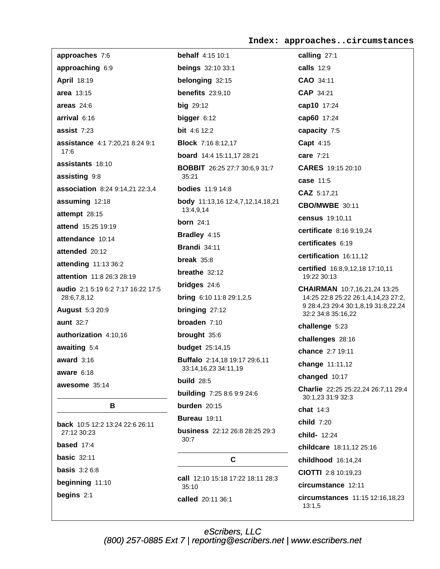Index: approaches..circumstances

| approaches 7:6                                    | <b>behalf</b> 4:15 10:1                                      | calling 27:1                                                               |
|---------------------------------------------------|--------------------------------------------------------------|----------------------------------------------------------------------------|
| approaching 6:9                                   | <b>beings</b> 32:10 33:1                                     | <b>calls</b> 12:9                                                          |
| April 18:19                                       | belonging 32:15                                              | CAO 34:11                                                                  |
| area 13:15                                        | benefits $23:9,10$                                           | CAP 34:21                                                                  |
| areas $24:6$                                      | $big$ 29:12                                                  | cap10 17:24                                                                |
| arrival 6:16                                      | bigger $6:12$                                                | cap60 17:24                                                                |
| assist 7:23                                       | <b>bit</b> 4:6 12:2                                          | capacity 7:5                                                               |
| assistance 4:1 7:20,21 8:24 9:1                   | <b>Block</b> 7:16 8:12,17                                    | Capt 4:15                                                                  |
| 17:6                                              | board 14:4 15:11,17 28:21                                    | <b>care</b> 7:21                                                           |
| assistants 18:10                                  | <b>BOBBIT</b> 26:25 27:7 30:6,9 31:7                         | CARES 19:15 20:10                                                          |
| assisting 9:8                                     | 35:21                                                        | case 11:5                                                                  |
| association 8:24 9:14,21 22:3,4                   | <b>bodies</b> 11:9 14:8                                      | CAZ 5:17,21                                                                |
| assuming 12:18                                    | <b>body</b> 11:13,16 12:4,7,12,14,18,21<br>13:4,9,14         | <b>CBO/MWBE 30:11</b>                                                      |
| attempt 28:15                                     | <b>born</b> 24:1                                             | census 19:10,11                                                            |
| attend 15:25 19:19                                | Bradley 4:15                                                 | certificate 8:16 9:19,24                                                   |
| attendance 10:14                                  | <b>Brandi</b> 34:11                                          | certificates 6:19                                                          |
| attended 20:12                                    | break $35:8$                                                 | certification 16:11,12                                                     |
| attending 11:13 36:2                              | breathe $32:12$                                              | certified 16:8,9,12,18 17:10,11                                            |
| attention 11:8 26:3 28:19                         | <b>bridges</b> 24:6                                          | 19:22 30:13                                                                |
| audio 2:1 5:19 6:2 7:17 16:22 17:5<br>28:6,7,8,12 | <b>bring</b> 6:10 11:8 29:1,2,5                              | <b>CHAIRMAN</b> 10:7,16,21,24 13:25<br>14:25 22:8 25:22 26:1,4,14,23 27:2, |
| <b>August 5:3 20:9</b>                            | bringing 27:12                                               | 9 28:4,23 29:4 30:1,8,19 31:8,22,24                                        |
| <b>aunt</b> 32:7                                  | broaden $7:10$                                               | 32:2 34:8 35:16,22                                                         |
|                                                   |                                                              | challenge 5:23                                                             |
| authorization 4:10,16                             | brought 35:6                                                 | challenges 28:16                                                           |
| awaiting 5:4                                      | <b>budget</b> 25:14,15                                       | chance 2:7 19:11                                                           |
| award $3:16$                                      | <b>Buffalo</b> 2:14,18 19:17 29:6,11<br>33:14,16,23 34:11,19 | change 11:11,12                                                            |
| aware $6:18$                                      | <b>build</b> 28:5                                            | changed 10:17                                                              |
| awesome 35:14                                     | building 7:25 8:6 9:9 24:6                                   | Charlie 22:25 25:22,24 26:7,11 29:4<br>30:1,23 31:9 32:3                   |
| В                                                 | burden $20:15$                                               | chat 14:3                                                                  |
| <b>back</b> 10:5 12:2 13:24 22:6 26:11            | <b>Bureau</b> 19:11                                          | child 7:20                                                                 |
| 27:12 30:23                                       | business 22:12 26:8 28:25 29:3<br>30:7                       | child- 12:24                                                               |
| based $17:4$                                      |                                                              | childcare 18:11,12 25:16                                                   |
| <b>basic 32:11</b>                                | C                                                            | childhood 16:14,24                                                         |
| <b>basis</b> $3:26:8$                             | <b>call</b> 12:10 15:18 17:22 18:11 28:3                     | CIOTTI 2:8 10:19,23                                                        |
| beginning 11:10                                   | 35:10                                                        | circumstance 12:11                                                         |
| begins $2:1$                                      | called 20:11 36:1                                            | circumstances $11:15$ 12:16,18,23<br>13:1,5                                |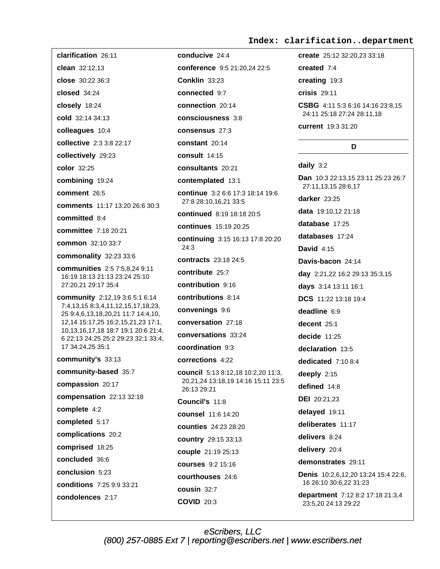#### Index: clarification..department

clarification 26:11 clean 32:12,13 close 30:22 36:3  $closed$  34:24 closely 18:24 cold 32:14 34:13 colleagues 10:4 collective 2:3 3:8 22:17 collectively 29:23 color 32:25 combining 19:24 comment 26:5 comments 11:17 13:20 26:6 30:3 committed 8:4 **committee** 7:18 20:21 common 32:10 33:7 commonality 32:23 33:6 **communities** 2:5 7:5,8,24 9:11 16:19 18:13 21:13 23:24 25:10 27:20,21 29:17 35:4 community 2:12,19 3:6 5:1 6:14 7:4,13,15 8:3,4,11,12,15,17,18,23, 25 9:4,6,13,18,20,21 11:7 14:4,10, 12,14 15:17,25 16:2,15,21,23 17:1, 10,13,16,17,18 18:7 19:1 20:6 21:4, 6 22:13 24:25 25:2 29:23 32:1 33:4, 17 34:24,25 35:1 community's 33:13 community-based 35:7 compassion 20:17 compensation 22:13 32:18 complete 4:2 completed 5:17 complications 20:2 comprised 18:25 concluded 36:6 conclusion 5:23 conditions 7:25 9:9 33:21 condolences 2:17

conducive 24:4 conference 9:5 21:20,24 22:5 **Conklin 33:23** connected 9:7 connection 20:14 consciousness 3:8 consensus 27:3 constant 20:14 consult 14:15 consultants 20:21 contemplated 13:1 continue 3:2 6:6 17:3 18:14 19:6 27:8 28:10,16,21 33:5 continued 8:19 18:18 20:5 continues 15:19 20:25 continuing 3:15 16:13 17:8 20:20  $24:3$ contracts 23:18 24:5 contribute 25:7 contribution 9:16 contributions 8:14 convenings 9:6 conversation 27:18 conversations 33:24 coordination 9:3 corrections 4:22 council 5:13 8:12,18 10:2,20 11:3, 20,21,24 13:18,19 14:16 15:11 23:5 26:13 29:21 Council's 11:8 counsel 11:6 14:20 **counties** 24:23 28:20 country 29:15 33:13 couple 21:19 25:13 **courses** 9:2 15:16 courthouses 24.6 cousin 32:7 **COVID 20:3** 

create 25:12 32:20.23 33:18 created 7:4

creating 19:3

crisis 29:11

CSBG 4:11 5:3 6:16 14:16 23:8.15 24:11 25:18 27:24 28:11,18

current 19:3 31:20

#### D

daily  $3:2$ 

Dan 10:3 22:13,15 23:11 25:23 26:7 27:11,13,15 28:6,17 darker 23:25 data 19:10,12 21:18 database 17:25 databases 17:24 David  $4:15$ Davis-bacon 24:14 day 2:21,22 16:2 29:13 35:3,15 days 3:14 13:11 16:1 DCS 11:22 13:18 19:4 deadline 6:9 decent 25:1 decide  $11:25$ declaration 13:5 dedicated 7:10 8:4 deeply  $2:15$ defined 14:8 **DEI** 20:21,23 delayed 19:11 deliberates 11:17 delivers 8:24 delivery 20:4 demonstrates 29:11 **Denis** 10:2.6.12.20 13:24 15:4 22:6. 16 26:10 30:6,22 31:23 department 7:12 8:2 17:18 21:3,4 23:5,20 24:13 29:22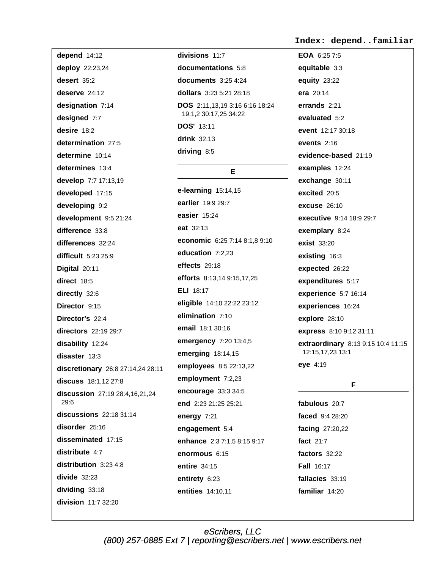depend 14:12 deploy 22:23,24 desert 35:2 deserve  $24:12$ designation 7:14 designed 7:7 desire 18:2 determination 27:5 determine 10:14 determines 13:4 develop 7:7 17:13,19 developed 17:15 developing 9:2 development 9:5 21:24 difference 33:8 differences 32:24 difficult  $5:2325:9$ Digital 20:11 direct 18:5 directly 32:6 Director 9:15 Director's 22:4 directors 22:19 29:7 disability 12:24 disaster 13:3 discretionary 26:8 27:14,24 28:11 discuss 18:1.12 27:8 discussion 27:19 28:4,16,21,24  $29.6$  $discussions$  22:18 31:14 disorder 25:16 disseminated 17:15 distribute 4:7 distribution 3:23 4:8  $divide$  32:23 dividing 33:18 division 11:7 32:20

divisions 11:7 documentations 5:8 documents  $3:254:24$ dollars 3:23 5:21 28:18 DOS 2:11,13,19 3:16 6:16 18:24 19:1,2 30:17,25 34:22 **DOS' 13:11**  $drink$  32:13 driving 8:5

# E.

e-learning  $15:14,15$ earlier 19:9 29:7 easier 15:24 eat 32:13 economic 6:25 7:14 8:1,8 9:10 education 7:2.23 effects 29:18 efforts 8:13,14 9:15,17,25 **ELI** 18:17 eligible 14:10 22:22 23:12 elimination 7:10 email 18:1 30:16 emergency 7:20 13:4,5 emerging 18:14,15 employees 8:5 22:13,22 employment 7:2,23 encourage 33:3 34:5 end 2:23 21:25 25:21 energy 7:21 engagement 5:4 enhance 2:3 7:1,5 8:15 9:17 enormous 6:15 entire 34:15 entirety 6:23 entities 14:10.11

#### Index: depend..familiar

EOA 6:25 7:5 equitable 3:3 **equity 23:22** era 20:14 errands 2:21 evaluated 5:2 event 12:17 30:18 events  $2:16$ evidence-based 21:19 examples 12:24 exchange 30:11 excited 20:5 excuse  $26:10$ executive 9:14 18:9 29:7 exemplary 8:24 **exist 33:20** existing 16:3 expected 26:22 expenditures 5:17 experience 5:7 16:14 experiences 16:24 explore 28:10 express 8:10 9:12 31:11 extraordinary 8:13 9:15 10:4 11:15 12:15,17,23 13:1 eye 4:19

#### F.

fabulous 20:7 faced 9:4 28:20 facing 27:20,22 fact  $21:7$ factors 32:22 **Fall 16:17** fallacies 33:19 familiar 14:20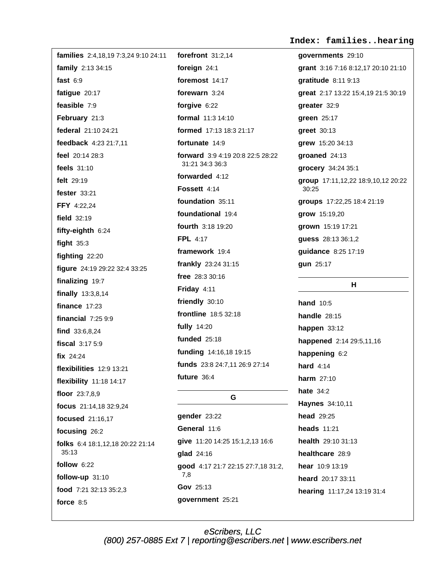Index: families..hearing

families 2:4,18,19 7:3,24 9:10 24:11 forefront  $31:2.14$ family 2:13 34:15 fast  $6:9$ fatigue 20:17 feasible 7:9 February 21:3 federal 21:10 24:21 feedback 4:23 21:7.11 feel 20:14 28:3 feels  $31:10$ felt 29:19 fester 33:21 FFY 4:22.24 field  $32:19$ fifty-eighth 6:24 fight  $35:3$ fighting 22:20 figure 24:19 29:22 32:4 33:25 finalizing 19:7 finally  $13:3,8,14$ finance  $17:23$ financial  $7:259:9$ find 33:6,8,24 fiscal  $3:175:9$ fix 24:24 flexibilities 12:9 13:21 flexibility 11:18 14:17 floor 23:7,8,9 focus 21:14,18 32:9,24 focused 21:16,17 focusing 26:2 folks 6:4 18:1.12.18 20:22 21:14  $35:13$ follow  $6:22$  $7,8$ follow-up 31:10 food 7:21 32:13 35:2.3 force  $8:5$ 

foreign 24:1 foremost 14:17 forewarn 3:24 forgive 6:22 formal 11:3 14:10 formed 17:13 18:3 21:17 fortunate 14:9 forward 3:9 4:19 20:8 22:5 28:22 31:21 34:3 36:3 forwarded 4:12 Fossett 4:14 foundation 35:11 foundational 19:4 fourth 3:18 19:20 **FPL 4:17** framework 19:4 frankly 23:24 31:15 free 28:3 30:16 Friday 4:11 friendly 30:10 **frontline** 18:5 32:18 **fully** 14:20 **funded** 25:18 funding 14:16,18 19:15 funds 23:8 24:7,11 26:9 27:14 future 36:4

# G.

gender 23:22 General 11:6 give 11:20 14:25 15:1,2,13 16:6 glad 24:16 good 4:17 21:7 22:15 27:7,18 31:2, Gov 25:13 government 25:21

governments 29:10 grant 3:16 7:16 8:12,17 20:10 21:10 gratitude 8:11 9:13 great 2:17 13:22 15:4,19 21:5 30:19 qreater 32:9 green 25:17 greet 30:13 grew 15:20 34:13 groaned 24:13 grocery 34:24 35:1 group 17:11,12,22 18:9,10,12 20:22 30:25 groups 17:22,25 18:4 21:19 grow 15:19,20 grown 15:19 17:21 guess 28:13 36:1,2 quidance 8:25 17:19 gun 25:17

# H.

**hand** 10:5 **handle** 28:15 happen  $33:12$ happened 2:14 29:5,11,16 happening 6:2 hard  $4:14$ harm 27:10 hate  $34:2$ Haynes 34:10,11 **head** 29:25 heads  $11:21$ health 29:10 31:13 healthcare 28:9 hear 10:9 13:19 heard 20:17 33:11 hearing 11:17,24 13:19 31:4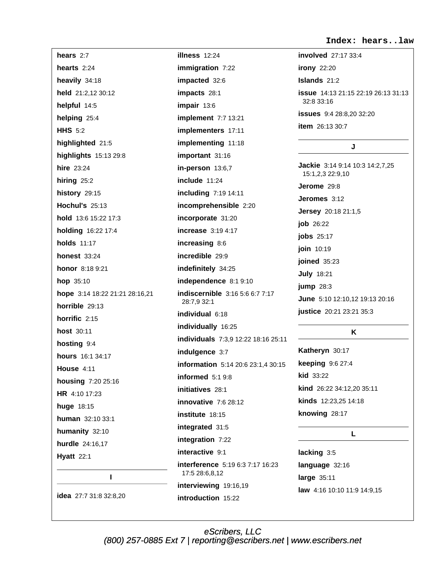Index: hears..law

hears  $2:7$ illness 12:24 hearts  $2:24$ heavily 34:18 impacted 32:6 held 21:2.12 30:12 impacts 28:1 helpful 14:5 impair 13:6 helping 25:4 **HHS 5:2** highlighted 21:5 highlights 15:13 29:8 **hire** 23:24 hiring  $25:2$ include 11:24 history 29:15 **Hochul's 25:13** hold 13:6 15:22 17:3 holding 16:22 17:4 holds  $11:17$ increasing 8:6 **honest** 33:24 incredible 29:9 honor 8:18 9:21 hop 35:10 hope 3:14 18:22 21:21 28:16,21 28:7,9 32:1 horrible  $29:13$ individual 6:18 horrific 2:15 host 30:11 hosting 9:4 indulgence 3:7 hours 16:1 34:17 House 4:11 housing 7:20 25:16 initiatives 28:1 HR 4:10 17:23 huge 18:15 institute 18:15 human 32:10 33:1 integrated 31:5 humanity 32:10 hurdle 24:16.17 interactive 9:1 **Hyatt** 22:1 17:5 28:6,8,12  $\mathbf{I}$ idea 27:7 31:8 32:8,20 introduction 15:22

immigration 7:22 implement 7:7 13:21 implementers 17:11 implementing 11:18 important 31:16 in-person  $13:6,7$ **including 7:19 14:11** incomprehensible 2:20 incorporate 31:20 **increase** 3:19 4:17 indefinitely 34:25 independence 8:1 9:10 indiscernible 3:16 5:6 6:7 7:17 individually 16:25 individuals 7:3,9 12:22 18:16 25:11 **information** 5:14 20:6 23:1.4 30:15 informed  $5:19:8$ innovative 7:6 28:12 integration 7:22 **interference** 5:19 6:3 7:17 16:23 interviewing 19:16,19

involved 27:17 33:4 **irony** 22:20 Islands 21:2 **issue** 14:13 21:15 22:19 26:13 31:13  $32.833.16$ issues 9:4 28:8,20 32:20 item 26:13 30:7

#### J

Jackie 3:14 9:14 10:3 14:2,7,25 15:1,2,3 22:9,10 Jerome 29:8 Jeromes 3:12 **Jersey** 20:18 21:1,5 job 26:22 jobs 25:17 join 10:19 joined 35:23 **July 18:21** jump  $28:3$ June 5:10 12:10,12 19:13 20:16 justice 20:21 23:21 35:3

# K

Katheryn 30:17 keeping 9:6 27:4 **kid** 33:22 kind 26:22 34:12,20 35:11 kinds 12:23.25 14:18 knowing 28:17

#### L.

lacking 3:5 language 32:16 large 35:11 law 4:16 10:10 11:9 14:9,15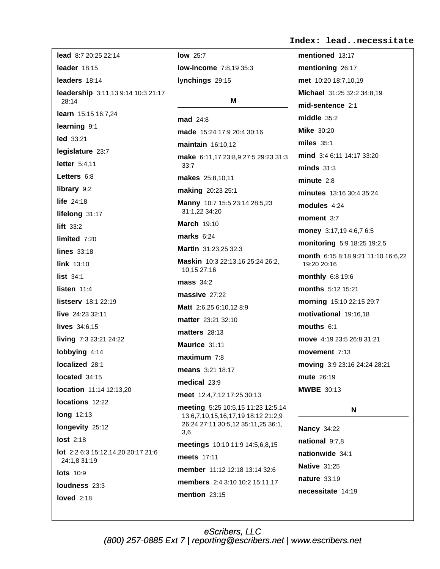lead 8:7 20:25 22:14 leader 18:15 leaders 18:14 leadership 3:11,13 9:14 10:3 21:17  $28.14$ learn 15:15 16:7,24 learning 9:1 led 33:21 legislature 23:7 letter 5:4,11 Letters 6:8 library 9:2 life 24:18 lifelong 31:17 lift  $33:2$ limited 7:20 lines  $33:18$ link  $13:10$ list 34:1 listen  $11:4$ listserv 18:1 22:19 live 24:23 32:11 lives  $34:6.15$ living 7:3 23:21 24:22 lobbying 4:14 localized 28:1 located 34:15 location 11:14 12:13.20 locations 12:22 long 12:13 longevity 25:12 **lost** 2:18 lot 2:2 6:3 15:12,14,20 20:17 21:6 24:1,8 31:19  $\text{losts}$  10.9 loudness 23:3

loved  $2:18$ 

**low** 25:7 low-income 7:8,19 35:3 lynchings 29:15

### М

mad 24:8 made 15:24 17:9 20:4 30:16 maintain 16:10.12 make 6:11,17 23:8,9 27:5 29:23 31:3  $33:7$ makes 25:8,10,11 making 20:23 25:1 Manny 10:7 15:5 23:14 28:5,23 31:1,22 34:20 **March 19:10** marks  $6:24$ Martin 31:23.25 32:3 Maskin 10:3 22:13,16 25:24 26:2, 10.15 27:16 mass  $34:2$ massive  $27.22$ Matt 2:6,25 6:10,12 8:9 matter 23:21 32:10 **matters** 28:13 Maurice 31:11  $maximum$  7:8 means 3:21 18:17 medical 23:9 meet 12:4,7,12 17:25 30:13 meeting 5:25 10:5,15 11:23 12:5,14 13:6,7,10,15,16,17,19 18:12 21:2,9 26:24 27:11 30:5,12 35:11,25 36:1, 3,6 meetings 10:10 11:9 14:5,6,8,15 meets 17:11 member 11:12 12:18 13:14 32:6 members 2:4 3:10 10:2 15:11,17 mention  $23:15$ 

#### Index: lead..necessitate

mentioned 13:17 mentioning 26:17 met 10:20 18:7,10,19 Michael 31:25 32:2 34:8.19 mid-sentence 2:1 middle  $35:2$ **Mike 30:20** miles  $35:1$ mind 3:4 6:11 14:17 33:20  $minds$  31:3 minute  $2:8$ minutes 13:16 30:4 35:24 modules 4:24 moment 3:7 money 3:17,19 4:6,7 6:5 monitoring 5:9 18:25 19:2,5 month 6:15 8:18 9:21 11:10 16:6,22 19:20 20:16 monthly 6:8 19:6 months 5:12 15:21 morning 15:10 22:15 29:7 motivational 19:16,18 mouths  $6:1$ move 4:19 23:5 26:8 31:21 movement 7:13 moving 3:9 23:16 24:24 28:21 mute 26:19 **MWBE** 30:13

#### N

**Nancy 34:22** national 9:7,8 nationwide 34:1 **Native 31:25** nature 33:19 necessitate 14:19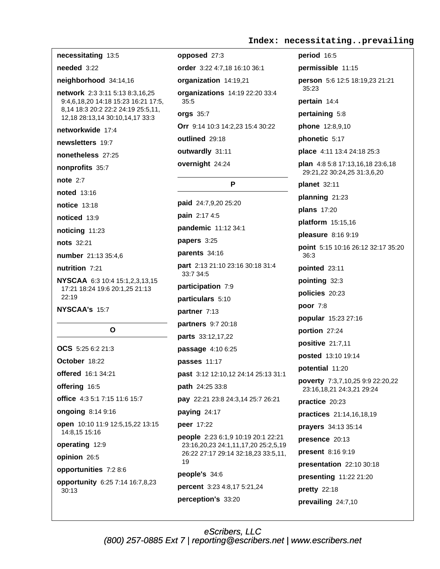# necessitating 13:5 needed 3:22 neighborhood 34:14,16 network 2:3 3:11 5:13 8:3.16.25 9:4,6,18,20 14:18 15:23 16:21 17:5, 8,14 18:3 20:2 22:2 24:19 25:5,11, 12,18 28:13,14 30:10,14,17 33:3 networkwide 17:4 newsletters 19:7 nonetheless 27:25 nonprofits 35:7 note  $2:7$ noted 13:16 notice 13:18 noticed 13:9 noticing 11:23 nots 32:21 number 21:13 35:4.6 nutrition 7:21 NYSCAA 6:3 10:4 15:1,2,3,13,15 17:21 18:24 19:6 20:1,25 21:13 22:19 NYSCAA's 15:7  $\Omega$ OCS 5:25 6:2 21:3 October 18:22 offered 16:1 34:21

offering 16:5 office 4:3 5:1 7:15 11:6 15:7 ongoing 8:14 9:16 open 10:10 11:9 12:5,15,22 13:15 14:8,15 15:16 operating 12:9 opinion 26:5 opportunities 7:2 8:6 opportunity 6:25 7:14 16:7,8,23  $30:13$ 

opposed 27:3 order 3:22 4:7,18 16:10 36:1 organization 14:19,21 organizations 14:19 22:20 33:4  $35:5$ **orgs 35:7** Orr 9:14 10:3 14:2,23 15:4 30:22 outlined 29:18 outwardly 31:11 overnight 24:24

P

paid 24:7,9,20 25:20 **pain** 2:17 4:5 pandemic 11:12 34:1 papers 3:25 parents 34:16 part 2:13 21:10 23:16 30:18 31:4 33:7 34:5 participation 7:9 particulars 5:10 partner 7:13 partners 9:7 20:18 parts 33:12,17,22 passage 4:10 6:25 **passes** 11:17 past 3:12 12:10,12 24:14 25:13 31:1 path 24:25 33:8 pay 22:21 23:8 24:3,14 25:7 26:21 paying 24:17 peer 17:22 people 2:23 6:1,9 10:19 20:1 22:21 23:16,20,23 24:1,11,17,20 25:2,5,19 26:22 27:17 29:14 32:18,23 33:5,11, 19 people's 34:6 percent 3:23 4:8,17 5:21,24 perception's 33:20

period 16:5 permissible 11:15 person 5:6 12:5 18:19,23 21:21  $35:23$ pertain 14:4 pertaining 5:8 phone 12:8,9,10 phonetic 5:17 place 4:11 13:4 24:18 25:3 **plan** 4:8 5:8 17:13,16,18 23:6,18 29:21,22 30:24,25 31:3,6,20 planet 32:11 planning 21:23 **plans** 17:20 platform 15:15,16 pleasure 8:16 9:19 point 5:15 10:16 26:12 32:17 35:20 36:3 pointed 23:11 pointing 32:3 policies 20:23 poor 7:8 popular 15:23 27:16 portion 27:24 positive 21:7,11 posted 13:10 19:14 potential 11:20 poverty 7:3,7,10,25 9:9 22:20,22 23:16,18,21 24:3,21 29:24 practice 20:23 practices 21:14,16,18,19 prayers 34:13 35:14 presence 20:13 present 8:16 9:19 presentation 22:10 30:18 presenting 11:22 21:20 pretty 22:18

prevailing 24:7,10

eScribers, LLC (800) 257-0885 Ext 7 | reporting@escribers.net | www.escribers.net

# Index: necessitating..prevailing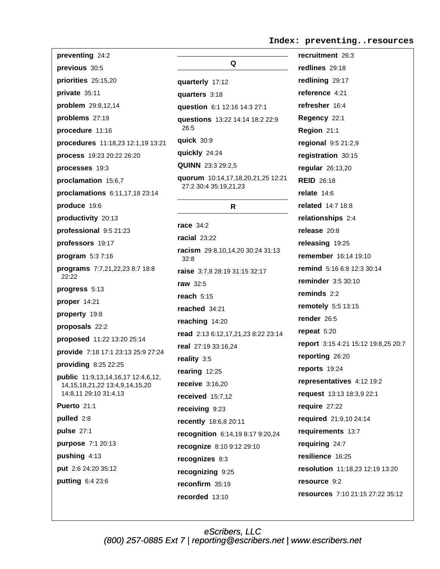Index: preventing..resources

| preventing 24:2                                                                                        |
|--------------------------------------------------------------------------------------------------------|
| previous 30:5                                                                                          |
| priorities 25:15,20                                                                                    |
| private 35:11                                                                                          |
| problem 29:8,12,14                                                                                     |
| problems 27:19                                                                                         |
| procedure 11:16                                                                                        |
| procedures 11:18,23 12:1,19 13:21                                                                      |
| process 19:23 20:22 26:20                                                                              |
| processes 19:3                                                                                         |
| proclamation 15:6,7                                                                                    |
| proclamations 6:11,17,18 23:14                                                                         |
| produce 19:6                                                                                           |
| productivity 20:13                                                                                     |
| professional 9:5 21:23                                                                                 |
| professors 19:17                                                                                       |
| program 5:37:16                                                                                        |
| programs 7:7,21,22,23 8:7 18:8<br>22:22                                                                |
| progress 5:13                                                                                          |
| proper 14:21                                                                                           |
| property 19:8                                                                                          |
| <b>proposals</b> 22:2                                                                                  |
| proposed 11:22 13:20 25:14                                                                             |
| provide 7:18 17:1 23:13 25:9 27:24                                                                     |
| providing 8:25 22:25                                                                                   |
| public 11:9,13,14,16,17 12:4,6,12,<br>14, 15, 18, 21, 22 13: 4, 9, 14, 15, 20<br>14:8,11 29:10 31:4,13 |
| Puerto 21:1                                                                                            |
| pulled 2:8                                                                                             |
| pulse 27:1                                                                                             |
| purpose 7:1 20:13                                                                                      |
| pushing 4:13                                                                                           |
| put 2:6 24:20 35:12                                                                                    |
| putting 6:4 23:6                                                                                       |
|                                                                                                        |

| Q                                                          |
|------------------------------------------------------------|
| quarterly 17:12                                            |
| quarters 3:18                                              |
| <b>question</b> 6:1 12:16 14:3 27:1                        |
| questions 13:22 14:14 18:2 22:9<br>26:5                    |
| quick 30:9                                                 |
| quickly 24:24                                              |
| <b>QUINN</b> 23:3 29:2,5                                   |
| quorum 10:14,17,18,20,21,25 12:21<br>27:2 30:4 35:19,21,23 |
| R                                                          |
| <b>race</b> 34:2                                           |
| <b>racial</b> 23:22                                        |
| <b>racism</b> 29:8,10,14,20 30:24 31:13<br>32:8            |
| <b>raise</b> 3:7,8 28:19 31:15 32:17                       |
| raw 32:5                                                   |
| reach 5:15                                                 |
| reached 34:21                                              |
| <b>reaching</b> 14:20                                      |
| read 2:13 6:12,17,21,23 8:22 23:14                         |
| real 27:19 33:16,24                                        |
| reality 3:5                                                |
| rearing 12:25                                              |
| <b>receive</b> 3:16.20                                     |
| received 15:7,12                                           |
| receiving 9:23                                             |
| recently 18:6,8 20:11                                      |
| recognition 6:14,19 8:17 9:20,24                           |
| recognize 8:10 9:12 29:10                                  |
| recognizes 8:3                                             |
| recognizing 9:25                                           |
| reconfirm 35:19                                            |
| recorded 13:10                                             |

recruitment 26:3 redlines 29:18 redlining 29:17 reference 4:21 refresher 16:4 Regency 22:1 Region 21:1 regional 9:5 21:2,9 registration 30:15 regular 26:13,20 **REID 26:18** relate  $14:6$ related 14:7 18:8 relationships 2:4 release 20:8 releasing 19:25 remember 16:14 19:10 remind 5:16 6:8 12:3 30:14 reminder 3:5 30:10 reminds  $2:2$ remotely 5:5 13:15 render 26:5 repeat 5:20 report 3:15 4:21 15:12 19:8,25 20:7 reporting 26:20 reports 19:24 representatives 4:12 19:2 request 13:13 18:3,9 22:1 require 27:22 required 21:9,10 24:14 requirements 13:7 requiring 24:7 resilience 16:25 resolution 11:18,23 12:19 13:20 resource 9:2 resources 7:10 21:15 27:22 35:12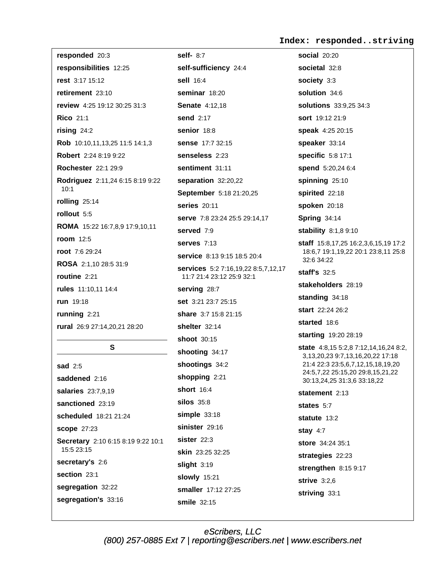#### Index: responded..striving

responded 20:3 responsibilities 12:25 rest 3:17 15:12 retirement 23:10 review 4:25 19:12 30:25 31:3 **Rico 21:1** rising  $24:2$ Rob 10:10,11,13,25 11:5 14:1,3 Robert 2:24 8:19 9:22 **Rochester** 22:1 29:9 Rodriguez 2:11,24 6:15 8:19 9:22  $10:1$ rolling 25:14 rollout 5:5 ROMA 15:22 16:7,8,9 17:9,10,11 room 12:5 root 7:6 29:24 ROSA 2:1,10 28:5 31:9 routine 2:21 rules 11:10,11 14:4 run 19:18 running  $2:21$ rural 26:9 27:14,20,21 28:20

### S.

**sad** 2:5 saddened 2:16 salaries 23:7,9,19 sanctioned 23:19 scheduled 18:21 21:24 **scope 27:23** Secretary 2:10 6:15 8:19 9:22 10:1 15:5 23:15 secretary's 2:6 section 23:1 segregation 32:22 segregation's 33:16

self- 8:7 self-sufficiency 24:4 sell 16:4 seminar 18:20 **Senate 4:12.18** send 2:17 senior 18:8 sense 17:7 32:15 senseless 2:23 sentiment 31:11 separation 32:20,22 September 5:18 21:20,25 series 20:11 serve 7:8 23:24 25:5 29:14,17 served 7:9 serves  $7:13$ service 8:13 9:15 18:5 20:4 services 5:2 7:16,19,22 8:5,7,12,17 11:7 21:4 23:12 25:9 32:1 serving 28:7 set 3:21 23:7 25:15 share 3:7 15:8 21:15 shelter  $32:14$ shoot 30:15 shooting 34:17 shootings 34:2 shopping 2:21 short  $16.4$ **silos** 35:8  $simple$  33:18 sinister 29:16 sister  $22:3$ skin 23:25 32:25 slight  $3:19$ **slowly** 15:21 smaller 17:12 27:25 smile 32:15

**social** 20:20 societal 32:8 society 3:3 solution 34:6 solutions 33:9,25 34:3 sort 19:12 21:9 speak 4:25 20:15 speaker 33:14 specific 5:8 17:1 spend 5:20,24 6:4 spinning 25:10 spirited 22:18 spoken 20:18 **Spring 34:14** stability 8:1,8 9:10 staff 15:8,17,25 16:2,3,6,15,19 17:2 18:6,7 19:1,19,22 20:1 23:8,11 25:8 32:6 34:22 staff's  $32:5$ stakeholders 28:19 standing  $34:18$ start 22:24 26:2 started 18:6 starting 19:20 28:19 state 4:8,15 5:2,8 7:12,14,16,24 8:2, 3,13,20,23 9:7,13,16,20,22 17:18 21:4 22:3 23:5,6,7,12,15,18,19,20 24:5,7,22 25:15,20 29:8,15,21,22 30:13,24,25 31:3,6 33:18,22 statement 2:13 states 5:7 statute 13:2 stay  $4:7$ store 34:24 35:1 strategies 22:23 strengthen 8:15 9:17 strive  $3:2,6$ striving 33:1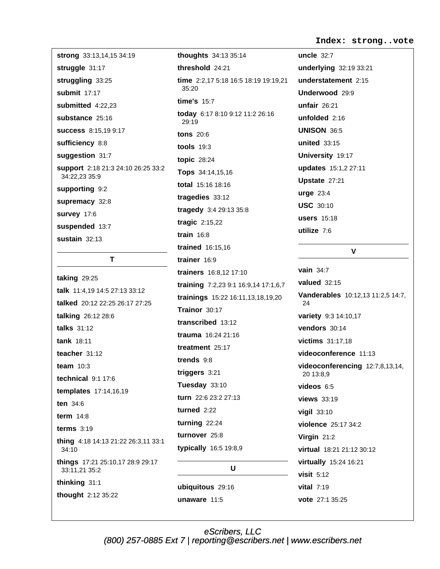#### Index: strong..vote

strong 33:13,14,15 34:19 struggle 31:17 struggling 33:25 submit 17:17 submitted 4:22.23 substance 25:16 **success** 8:15,19 9:17 sufficiency 8:8 suggestion 31:7 support 2:18 21:3 24:10 26:25 33:2 34:22,23 35:9 supporting 9:2 supremacy 32:8 survey 17:6 suspended 13:7 sustain  $32:13$ 

T

taking  $29:25$ talk 11:4.19 14:5 27:13 33:12 talked 20:12 22:25 26:17 27:25 talking 26:12 28:6 talks 31:12 tank 18:11 teacher  $31.12$ team  $10:3$ technical  $9:1$  17:6 templates 17:14,16,19 ten 34:6 term  $14:8$ terms  $3:19$ thing 4:18 14:13 21:22 26:3,11 33:1 34:10 things 17:21 25:10,17 28:9 29:17 33:11,21 35:2 thinking 31:1 thought 2:12 35:22

thoughts 34:13 35:14 threshold 24:21 time 2:2,17 5:18 16:5 18:19 19:19,21  $35:20$ time's  $15.7$ today 6:17 8:10 9:12 11:2 26:16 29:19 **tons** 20:6 tools  $19:3$ **topic 28:24** Tops 34:14,15,16 total 15:16 18:16 tragedies 33:12 tragedy 3:4 29:13 35:8 tragic 2:15,22 train  $16:8$ trained 16:15.16 trainer 16:9 trainers 16:8,12 17:10 training 7:2,23 9:1 16:9,14 17:1,6,7 trainings 15:22 16:11,13,18,19,20 Trainor 30:17 transcribed 13:12 trauma 16:24 21:16 treatment 25:17 trends 9:8 triggers  $3:21$ Tuesday 33:10 turn 22:6 23:2 27:13 turned  $2:22$ turning  $22:24$ turnover 25:8 typically 16:5 19:8,9 U

ubiquitous 29:16 unaware  $11:5$ 

uncle  $32:7$ underlying 32:19 33:21 understatement 2:15 Underwood 29:9 unfair  $26:21$ unfolded 2:16 **UNISON 36:5** united 33:15 University 19:17 **updates** 15:1,2 27:11 Upstate 27:21 **urge 23:4 USC 30:10 users** 15:18 utilize  $7:6$ 

# vain  $34:7$ valued  $32:15$ Vanderables 10:12,13 11:2,5 14:7, 24 variety 9:3 14:10,17 vendors 30:14 victims 31:17,18 videoconference 11:13 videoconferencing 12:7,8,13,14, 20 13:8.9 videos  $6:5$ views 33:19 vigil 33:10 violence 25:17 34:2 Virgin 21:2 virtual 18:21 21:12 30:12 virtually 15:24 16:21 visit  $5:12$ vital  $7:19$

 $\mathbf{V}$ 

vote 27:1 35:25